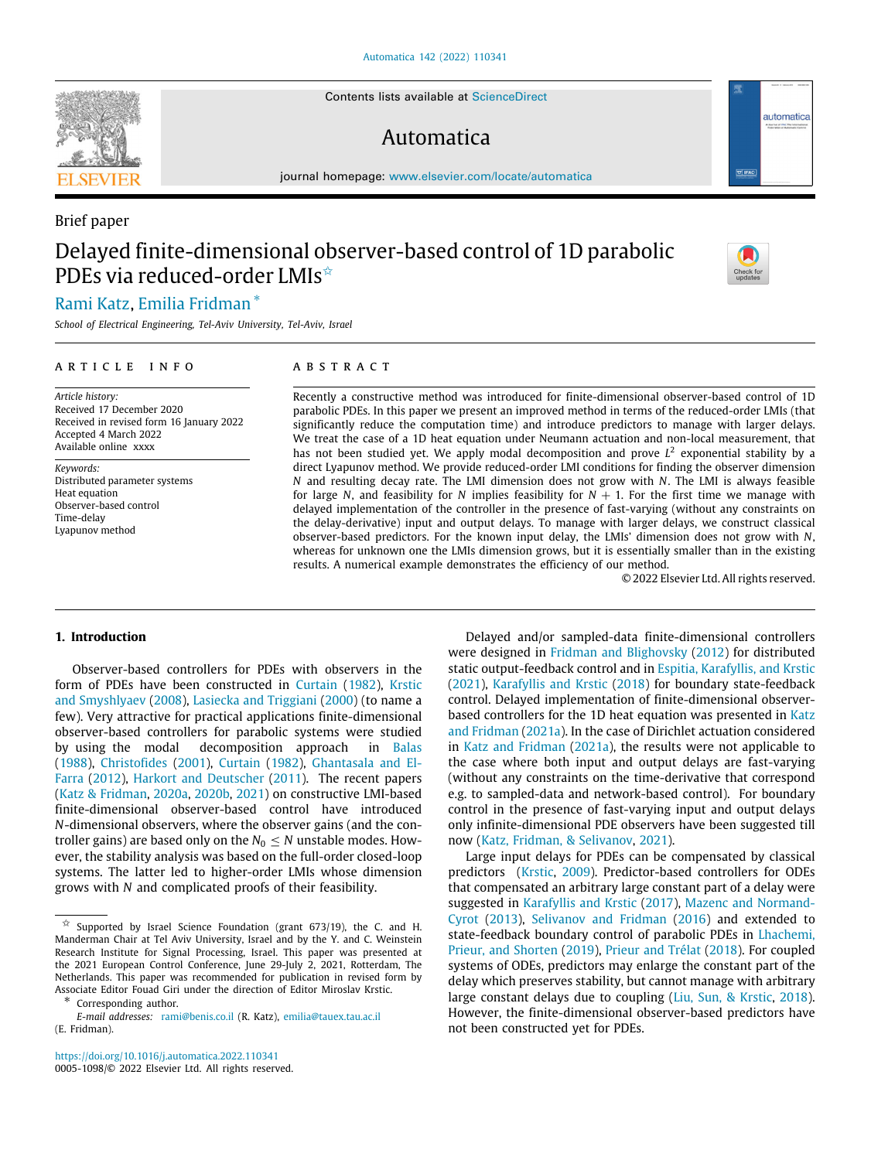Contents lists available at ScienceDirect

# Automatica

journal homepage: www.elsevier.com/locate/automatica

# Brief paper Delayed finite-dimensional observer-based control of 1D parabolic PDEs via reduced-order LMIs<sup>☆</sup>

# Rami Katz, Emilia Fridman <sup>∗</sup>

*School of Electrical Engineering, Tel-Aviv University, Tel-Aviv, Israel*

#### A R T I C L E I N F O

*Article history:* Received 17 December 2020 Received in revised form 16 January 2022 Accepted 4 March 2022 Available online xxxx

*Keywords:* Distributed parameter systems Heat equation Observer-based control Time-delay Lyapunov method

# A B S T R A C T

Recently a constructive method was introduced for finite-dimensional observer-based control of 1D parabolic PDEs. In this paper we present an improved method in terms of the reduced-order LMIs (that significantly reduce the computation time) and introduce predictors to manage with larger delays. We treat the case of a 1D heat equation under Neumann actuation and non-local measurement, that has not been studied yet. We apply modal decomposition and prove  $L<sup>2</sup>$  exponential stability by a direct Lyapunov method. We provide reduced-order LMI conditions for finding the observer dimension *N* and resulting decay rate. The LMI dimension does not grow with *N*. The LMI is always feasible for large *N*, and feasibility for *N* implies feasibility for  $N + 1$ . For the first time we manage with delayed implementation of the controller in the presence of fast-varying (without any constraints on the delay-derivative) input and output delays. To manage with larger delays, we construct classical observer-based predictors. For the known input delay, the LMIs' dimension does not grow with *N*, whereas for unknown one the LMIs dimension grows, but it is essentially smaller than in the existing results. A numerical example demonstrates the efficiency of our method.

© 2022 Elsevier Ltd. All rights reserved.

#### **1. Introduction**

Observer-based controllers for PDEs with observers in the form of PDEs have been constructed in Curtain (1982), Krstic and Smyshlyaev (2008), Lasiecka and Triggiani (2000) (to name a few). Very attractive for practical applications finite-dimensional observer-based controllers for parabolic systems were studied by using the modal decomposition approach in Balas (1988), Christofides (2001), Curtain (1982), Ghantasala and El-Farra (2012), Harkort and Deutscher (2011). The recent papers (Katz & Fridman, 2020a, 2020b, 2021) on constructive LMI-based finite-dimensional observer-based control have introduced *N*-dimensional observers, where the observer gains (and the controller gains) are based only on the  $N_0 \leq N$  unstable modes. However, the stability analysis was based on the full-order closed-loop systems. The latter led to higher-order LMIs whose dimension grows with *N* and complicated proofs of their feasibility.

∗ Corresponding author.

https://doi.org/10.1016/j.automatica.2022.110341 0005-1098/© 2022 Elsevier Ltd. All rights reserved.

Delayed and/or sampled-data finite-dimensional controllers were designed in Fridman and Blighovsky (2012) for distributed static output-feedback control and in Espitia, Karafyllis, and Krstic (2021), Karafyllis and Krstic (2018) for boundary state-feedback control. Delayed implementation of finite-dimensional observerbased controllers for the 1D heat equation was presented in Katz and Fridman (2021a). In the case of Dirichlet actuation considered in Katz and Fridman (2021a), the results were not applicable to the case where both input and output delays are fast-varying (without any constraints on the time-derivative that correspond e.g. to sampled-data and network-based control). For boundary control in the presence of fast-varying input and output delays only infinite-dimensional PDE observers have been suggested till now (Katz, Fridman, & Selivanov, 2021).

Large input delays for PDEs can be compensated by classical predictors (Krstic, 2009). Predictor-based controllers for ODEs that compensated an arbitrary large constant part of a delay were suggested in Karafyllis and Krstic (2017), Mazenc and Normand-Cyrot (2013), Selivanov and Fridman (2016) and extended to state-feedback boundary control of parabolic PDEs in Lhachemi, Prieur, and Shorten (2019), Prieur and Trélat (2018). For coupled systems of ODEs, predictors may enlarge the constant part of the delay which preserves stability, but cannot manage with arbitrary large constant delays due to coupling (Liu, Sun, & Krstic, 2018). However, the finite-dimensional observer-based predictors have not been constructed yet for PDEs.





automatica

 $\overrightarrow{x}$  Supported by Israel Science Foundation (grant 673/19), the C. and H. Manderman Chair at Tel Aviv University, Israel and by the Y. and C. Weinstein Research Institute for Signal Processing, Israel. This paper was presented at the 2021 European Control Conference, June 29-July 2, 2021, Rotterdam, The Netherlands. This paper was recommended for publication in revised form by Associate Editor Fouad Giri under the direction of Editor Miroslav Krstic.

*E-mail addresses:* rami@benis.co.il (R. Katz), emilia@tauex.tau.ac.il (E. Fridman).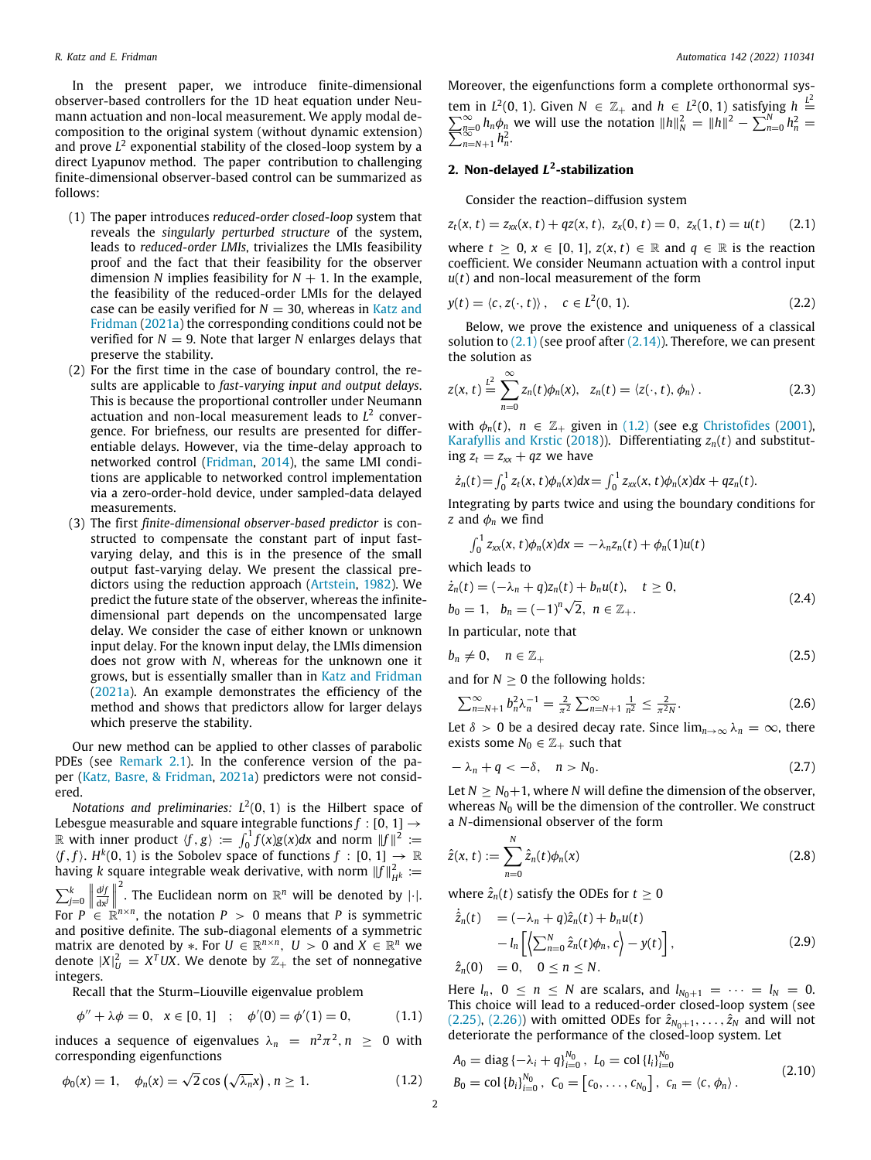In the present paper, we introduce finite-dimensional observer-based controllers for the 1D heat equation under Neumann actuation and non-local measurement. We apply modal decomposition to the original system (without dynamic extension) and prove *L* 2 exponential stability of the closed-loop system by a direct Lyapunov method. The paper contribution to challenging finite-dimensional observer-based control can be summarized as follows:

- (1) The paper introduces *reduced-order closed-loop* system that reveals the *singularly perturbed structure* of the system, leads to *reduced-order LMIs*, trivializes the LMIs feasibility proof and the fact that their feasibility for the observer dimension *N* implies feasibility for  $N + 1$ . In the example, the feasibility of the reduced-order LMIs for the delayed case can be easily verified for  $N = 30$ , whereas in Katz and Fridman (2021a) the corresponding conditions could not be verified for  $N = 9$ . Note that larger N enlarges delays that preserve the stability.
- (2) For the first time in the case of boundary control, the results are applicable to *fast-varying input and output delays*. This is because the proportional controller under Neumann actuation and non-local measurement leads to *L* 2 convergence. For briefness, our results are presented for differentiable delays. However, via the time-delay approach to networked control (Fridman, 2014), the same LMI conditions are applicable to networked control implementation via a zero-order-hold device, under sampled-data delayed measurements.
- (3) The first *finite-dimensional observer-based predictor* is constructed to compensate the constant part of input fastvarying delay, and this is in the presence of the small output fast-varying delay. We present the classical predictors using the reduction approach (Artstein, 1982). We predict the future state of the observer, whereas the infinitedimensional part depends on the uncompensated large delay. We consider the case of either known or unknown input delay. For the known input delay, the LMIs dimension does not grow with *N*, whereas for the unknown one it grows, but is essentially smaller than in Katz and Fridman (2021a). An example demonstrates the efficiency of the method and shows that predictors allow for larger delays which preserve the stability.

Our new method can be applied to other classes of parabolic PDEs (see Remark 2.1). In the conference version of the paper (Katz, Basre, & Fridman, 2021a) predictors were not considered.

*Notations and preliminaries:*  $L^2(0, 1)$  is the Hilbert space of Lebesgue measurable and square integrable functions  $f : [0, 1] \rightarrow$ R with inner product  $\langle f, g \rangle := \int_0^1 f(x)g(x)dx$  and norm  $||f||^2 :=$  $\langle f, f \rangle$ .  $H^k(0, 1)$  is the Sobolev space of functions  $f : [0, 1] \to \mathbb{R}$ having *k* square integrable weak derivative, with norm  $\|f\|_{H^k}^2 \coloneqq$  $\sum_{j=0}^{k}$  $\frac{d^j f}{dx^j}$  $\overset{\text{2}}{\text{.}}$  The Euclidean norm on  $\mathbb{R}^n$  will be denoted by  $\lvert\cdot\rvert.$ For  $P \stackrel{\cdot}{\in} \mathbb{R}^{n \times n}$ , the notation  $P > 0$  means that P is symmetric and positive definite. The sub-diagonal elements of a symmetric matrix are denoted by  $*$ . For  $U \in \mathbb{R}^{n \times n}$ ,  $U > 0$  and  $X \in \mathbb{R}^n$  we denote  $|X|^2_U = X^T U X$ . We denote by  $\mathbb{Z}_+$  the set of nonnegative integers.

Recall that the Sturm–Liouville eigenvalue problem

$$
\phi'' + \lambda \phi = 0, \quad x \in [0, 1] \quad ; \quad \phi'(0) = \phi'(1) = 0, \tag{1.1}
$$

induces a sequence of eigenvalues  $\lambda_n = n^2 \pi^2, n \geq 0$  with corresponding eigenfunctions

Moreover, the eigenfunctions form a complete orthonormal system in  $L^2(0, 1)$ . Given  $N \in \mathbb{Z}_+$  and  $h \in L^2(0, 1)$  satisfying  $h \stackrel{L^2}{=} \sum_{n=0}^{\infty} h_n \phi_n$  we will use the notation  $||h||_N^2 = ||h||^2 - \sum_{n=0}^N h_n^2 = \sum_{n=N+1}^{N} h_n^2$ .

### **2. Non-delayed** *L* **2 -stabilization**

Consider the reaction–diffusion system

$$
z_t(x, t) = z_{xx}(x, t) + qz(x, t), \ z_x(0, t) = 0, \ z_x(1, t) = u(t) \qquad (2.1)
$$

where  $t \geq 0$ ,  $x \in [0, 1]$ ,  $z(x, t) \in \mathbb{R}$  and  $q \in \mathbb{R}$  is the reaction coefficient. We consider Neumann actuation with a control input *u*(*t*) and non-local measurement of the form

$$
y(t) = \langle c, z(\cdot, t) \rangle, \quad c \in L^2(0, 1). \tag{2.2}
$$

Below, we prove the existence and uniqueness of a classical solution to  $(2.1)$  (see proof after  $(2.14)$ ). Therefore, we can present the solution as

$$
z(x, t) \stackrel{L^2}{=} \sum_{n=0}^{\infty} z_n(t) \phi_n(x), \quad z_n(t) = \langle z(\cdot, t), \phi_n \rangle.
$$
 (2.3)

with  $\phi_n(t)$ ,  $n \in \mathbb{Z}_+$  given in (1.2) (see e.g Christofides (2001), Karafyllis and Krstic (2018)). Differentiating  $z_n(t)$  and substituting  $z_t = z_{xx} + qz$  we have

$$
\dot{z}_n(t) = \int_0^1 z_t(x, t) \phi_n(x) dx = \int_0^1 z_{xx}(x, t) \phi_n(x) dx + qz_n(t).
$$

Integrating by parts twice and using the boundary conditions for *z* and  $\phi_n$  we find

$$
\int_0^1 z_{xx}(x,t)\phi_n(x)dx = -\lambda_n z_n(t) + \phi_n(1)u(t)
$$

which leads to

$$
\dot{z}_n(t) = (-\lambda_n + q)z_n(t) + b_n u(t), \quad t \ge 0,
$$
  
\n
$$
b_0 = 1, \quad b_n = (-1)^n \sqrt{2}, \quad n \in \mathbb{Z}_+.
$$
\n(2.4)

In particular, note that

$$
b_n \neq 0, \quad n \in \mathbb{Z}_+ \tag{2.5}
$$

and for  $N > 0$  the following holds:

$$
\sum_{n=N+1}^{\infty} b_n^2 \lambda_n^{-1} = \frac{2}{\pi^2} \sum_{n=N+1}^{\infty} \frac{1}{n^2} \le \frac{2}{\pi^2 N}.
$$
 (2.6)

Let  $\delta > 0$  be a desired decay rate. Since  $\lim_{n\to\infty} \lambda_n = \infty$ , there exists some  $N_0 \in \mathbb{Z}_+$  such that

$$
-\lambda_n + q < -\delta, \quad n > N_0. \tag{2.7}
$$

Let  $N \geq N_0+1$ , where *N* will define the dimension of the observer, whereas *N*<sup>0</sup> will be the dimension of the controller. We construct a *N*-dimensional observer of the form

$$
\hat{z}(x, t) := \sum_{n=0}^{N} \hat{z}_n(t) \phi_n(x)
$$
\n(2.8)

where  $\hat{z}_n(t)$  satisfy the ODEs for  $t \geq 0$ 

$$
\dot{\hat{z}}_n(t) = (-\lambda_n + q)\hat{z}_n(t) + b_n u(t) \n- l_n \left[ \left\langle \sum_{n=0}^N \hat{z}_n(t) \phi_n, c \right\rangle - y(t) \right],
$$
\n(2.9)

$$
\hat{z}_n(0) = 0, \quad 0 \leq n \leq N.
$$

Here  $l_n$ ,  $0 \le n \le N$  are scalars, and  $l_{N_0+1} = \cdots = l_N = 0$ . This choice will lead to a reduced-order closed-loop system (see (2.25), (2.26)) with omitted ODEs for  $\hat{z}_{N_0+1}, \ldots, \hat{z}_N$  and will not deteriorate the performance of the closed-loop system. Let

$$
A_0 = \text{diag}\{-\lambda_i + q\}_{i=0}^{N_0}, L_0 = \text{col}\{l_i\}_{i=0}^{N_0}
$$
  
\n
$$
B_0 = \text{col}\{b_i\}_{i=0}^{N_0}, C_0 = [c_0, \dots, c_{N_0}], c_n = \langle c, \phi_n \rangle.
$$
\n(2.10)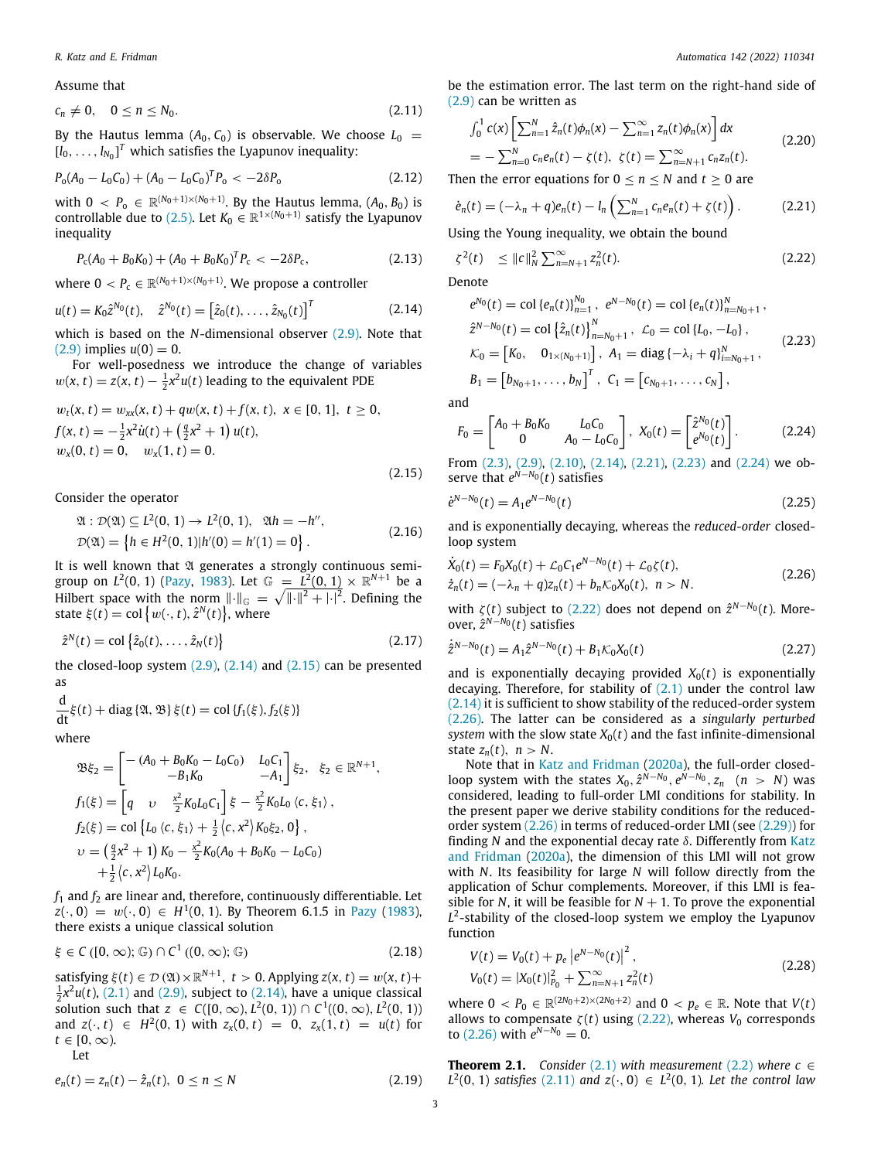Assume that

$$
c_n \neq 0, \quad 0 \leq n \leq N_0. \tag{2.11}
$$

By the Hautus lemma  $(A_0, C_0)$  is observable. We choose  $L_0 =$  $[l_0, \ldots, l_{N_0}]^T$  which satisfies the Lyapunov inequality:

$$
P_{o}(A_{0}-L_{0}C_{0})+(A_{0}-L_{0}C_{0})^{T}P_{o}<-2\delta P_{o}
$$
\n(2.12)

with  $0 \, < P_0 \, \in \, \mathbb{R}^{(N_0+1)\times(N_0+1)}$ . By the Hautus lemma,  $(A_0, B_0)$  is controllable due to (2.5). Let  $K_0 \in \mathbb{R}^{1 \times (N_0+1)}$  satisfy the Lyapunov inequality

$$
P_{\rm c}(A_0 + B_0 K_0) + (A_0 + B_0 K_0)^T P_{\rm c} < -2\delta P_{\rm c},\tag{2.13}
$$

where  $0 < P_{\text{c}} \in \mathbb{R}^{(N_0+1)\times (N_0+1)}$ . We propose a controller

$$
u(t) = K_0 \hat{z}^{N_0}(t), \quad \hat{z}^{N_0}(t) = \left[\hat{z}_0(t), \dots, \hat{z}_{N_0}(t)\right]^T
$$
 (2.14)

which is based on the *N*-dimensional observer (2.9). Note that  $(2.9)$  implies  $u(0) = 0$ .

For well-posedness we introduce the change of variables  $w(x, t) = z(x, t) - \frac{1}{2}x^2u(t)$  leading to the equivalent PDE

$$
w_t(x, t) = w_{xx}(x, t) + qw(x, t) + f(x, t), \ x \in [0, 1], \ t \ge 0,
$$
  
\n
$$
f(x, t) = -\frac{1}{2}x^2\dot{u}(t) + (\frac{q}{2}x^2 + 1)u(t),
$$
  
\n
$$
w_x(0, t) = 0, \quad w_x(1, t) = 0.
$$
\n(2.15)

Consider the operator

$$
\mathfrak{A}: \mathcal{D}(\mathfrak{A}) \subseteq L^2(0, 1) \to L^2(0, 1), \quad \mathfrak{A}h = -h'',
$$
  
\n
$$
\mathcal{D}(\mathfrak{A}) = \{ h \in H^2(0, 1) | h'(0) = h'(1) = 0 \}.
$$
\n(2.16)

It is well known that  $\mathfrak A$  generates a strongly continuous semigroup on  $L^2(0, 1)$  (Pazy, 1983). Let  $\mathbb{G} = L^2(0, 1) \times \mathbb{R}^{N+1}$  be a Hilbert space with the norm  $\lVert \cdot \rVert_{\mathbb{G}} = \sqrt{\lVert \cdot \rVert^2 + \lvert \cdot \rvert^2}$ . Defining the state  $\xi(t) = \text{col}\left\{w(\cdot, t), \hat{z}^N(t)\right\}$ , where

$$
\hat{z}^{N}(t) = \text{col}\left\{\hat{z}_{0}(t), \dots, \hat{z}_{N}(t)\right\}
$$
\n(2.17)

the closed-loop system  $(2.9)$ ,  $(2.14)$  and  $(2.15)$  can be presented as

$$
\frac{d}{dt}\xi(t) + \text{diag}\{\mathfrak{A},\mathfrak{B}\}\xi(t) = \text{col}\{f_1(\xi),f_2(\xi)\}\
$$

where

$$
\mathfrak{B}\xi_{2} = \begin{bmatrix} -(A_{0} + B_{0}K_{0} - L_{0}C_{0}) & L_{0}C_{1} \\ -B_{1}K_{0} & -A_{1} \end{bmatrix} \xi_{2}, \quad \xi_{2} \in \mathbb{R}^{N+1},
$$
  
\n
$$
f_{1}(\xi) = \begin{bmatrix} q & v & \frac{x^{2}}{2}K_{0}L_{0}C_{1} \\ L_{0} & (c, \xi_{1}) + \frac{1}{2} \langle c, x^{2} \rangle K_{0} \xi_{2}, 0 \end{bmatrix},
$$
  
\n
$$
v = \left(\frac{q}{2}x^{2} + 1\right)K_{0} - \frac{x^{2}}{2}K_{0}(A_{0} + B_{0}K_{0} - L_{0}C_{0}) + \frac{1}{2} \langle c, x^{2} \rangle L_{0}K_{0}.
$$

 $f_1$  and  $f_2$  are linear and, therefore, continuously differentiable. Let  $z(\cdot, 0) = w(\cdot, 0) \in H^1(0, 1)$ . By Theorem 6.1.5 in Pazy (1983), there exists a unique classical solution

$$
\xi \in C([0,\infty);\mathbb{G}) \cap C^1((0,\infty);\mathbb{G})
$$
\n(2.18)

satisfying  $\xi(t) \in \mathcal{D}(\mathfrak{A}) \times \mathbb{R}^{N+1}$ ,  $t > 0$ . Applying  $z(x, t) = w(x, t) +$  $\frac{1}{2}x^2u(t)$ , (2.1) and (2.9), subject to (2.14), have a unique classical solution such that *z* ∈ *C*([0, ∞), *L*<sup>2</sup>(0, 1)) ∩ *C*<sup>1</sup>((0, ∞), *L*<sup>2</sup>(0, 1)) and  $z(\cdot, t) \in H^2(0, 1)$  with  $z_x(0, t) = 0$ ,  $z_x(1, t) = u(t)$  for  $t \in [0, \infty)$ .

Let

$$
e_n(t) = z_n(t) - \hat{z}_n(t), \ 0 \le n \le N \tag{2.19}
$$

be the estimation error. The last term on the right-hand side of (2.9) can be written as

$$
\int_0^1 c(x) \left[ \sum_{n=1}^N \hat{z}_n(t) \phi_n(x) - \sum_{n=1}^\infty z_n(t) \phi_n(x) \right] dx
$$
\n
$$
= - \sum_{n=0}^N c_n e_n(t) - \zeta(t), \ \zeta(t) = \sum_{n=N+1}^\infty c_n z_n(t).
$$
\n(2.20)

Then the error equations for  $0 \le n \le N$  and  $t \ge 0$  are

$$
\dot{e}_n(t) = (-\lambda_n + q)e_n(t) - l_n\left(\sum_{n=1}^N c_n e_n(t) + \zeta(t)\right). \tag{2.21}
$$

Using the Young inequality, we obtain the bound

$$
\zeta^{2}(t) \leq \|c\|_{N}^{2} \sum_{n=N+1}^{\infty} z_{n}^{2}(t). \tag{2.22}
$$

Denote

$$
e^{N_0}(t) = \text{col}\left\{e_n(t)\right\}_{n=1}^{N_0}, \ e^{N-N_0}(t) = \text{col}\left\{e_n(t)\right\}_{n=N_0+1}^{N},
$$
  
\n
$$
\hat{z}^{N-N_0}(t) = \text{col}\left\{\hat{z}_n(t)\right\}_{n=N_0+1}^{N}, \ \mathcal{L}_0 = \text{col}\left\{L_0, -L_0\right\},
$$
  
\n
$$
\mathcal{K}_0 = \begin{bmatrix}K_0, & 0_{1 \times (N_0+1)}\end{bmatrix}, \ A_1 = \text{diag}\left\{-\lambda_i + q\right\}_{i=N_0+1}^{N},
$$
  
\n
$$
B_1 = \begin{bmatrix}b_{N_0+1}, \dots, b_N\end{bmatrix}^T, \ C_1 = \begin{bmatrix}c_{N_0+1}, \dots, c_N\end{bmatrix},
$$
 (2.23)

and

$$
F_0 = \begin{bmatrix} A_0 + B_0 K_0 & L_0 C_0 \\ 0 & A_0 - L_0 C_0 \end{bmatrix}, \ X_0(t) = \begin{bmatrix} \hat{z}^{N_0}(t) \\ e^{N_0}(t) \end{bmatrix}.
$$
 (2.24)

From (2.3), (2.9), (2.10), (2.14), (2.21), (2.23) and (2.24) we observe that  $e^{N-N_0}(t)$  satisfies

$$
\dot{e}^{N-N_0}(t) = A_1 e^{N-N_0}(t) \tag{2.25}
$$

and is exponentially decaying, whereas the *reduced-order* closedloop system

$$
\dot{X}_0(t) = F_0 X_0(t) + \mathcal{L}_0 C_1 e^{N - N_0}(t) + \mathcal{L}_0 \zeta(t),
$$
  
\n
$$
\dot{z}_n(t) = (-\lambda_n + q) z_n(t) + b_n \mathcal{K}_0 X_0(t), \quad n > N.
$$
\n(2.26)

with  $\zeta(t)$  subject to (2.22) does not depend on  $\hat{z}^{N-N_0}(t)$ . Moreover, *z*ˆ *<sup>N</sup>*−*N*<sup>0</sup> (*t*) satisfies

$$
\dot{\hat{z}}^{N-N_0}(t) = A_1 \hat{z}^{N-N_0}(t) + B_1 \mathcal{K}_0 X_0(t)
$$
\n(2.27)

and is exponentially decaying provided  $X_0(t)$  is exponentially decaying. Therefore, for stability of  $(2.1)$  under the control law (2.14) it is sufficient to show stability of the reduced-order system (2.26). The latter can be considered as a *singularly perturbed system* with the slow state  $X_0(t)$  and the fast infinite-dimensional state  $z_n(t)$ ,  $n > N$ .

Note that in Katz and Fridman (2020a), the full-order closedloop system with the states  $X_0$ ,  $\hat{z}^{N-N_0}$ ,  $e^{N-N_0}$ ,  $z_n$  ( $n > N$ ) was considered, leading to full-order LMI conditions for stability. In the present paper we derive stability conditions for the reducedorder system (2.26) in terms of reduced-order LMI (see (2.29)) for finding *N* and the exponential decay rate δ. Differently from Katz and Fridman (2020a), the dimension of this LMI will not grow with *N*. Its feasibility for large *N* will follow directly from the application of Schur complements. Moreover, if this LMI is feasible for *N*, it will be feasible for  $N + 1$ . To prove the exponential  $L^2$ -stability of the closed-loop system we employ the Lyapunov function

$$
V(t) = V_0(t) + p_e \left| e^{N - N_0}(t) \right|^2,
$$
  
\n
$$
V_0(t) = |X_0(t)|_{P_0}^2 + \sum_{n=N+1}^{\infty} z_n^2(t)
$$
\n(2.28)

where  $0 < P_0 \in \mathbb{R}^{(2N_0+2)\times(2N_0+2)}$  and  $0 < p_e \in \mathbb{R}$ . Note that  $V(t)$ allows to compensate  $\zeta(t)$  using (2.22), whereas  $V_0$  corresponds to (2.26) with  $e^{N-N_0} = 0$ .

**Theorem 2.1.** *Consider* (2.1) *with measurement* (2.2) *where*  $c \in$ *L*<sup>2</sup>(0, 1) *satisfies* (2,11) *and*  $z(·, 0) ∈ L<sup>2</sup>(0, 1)$ *. Let the control law*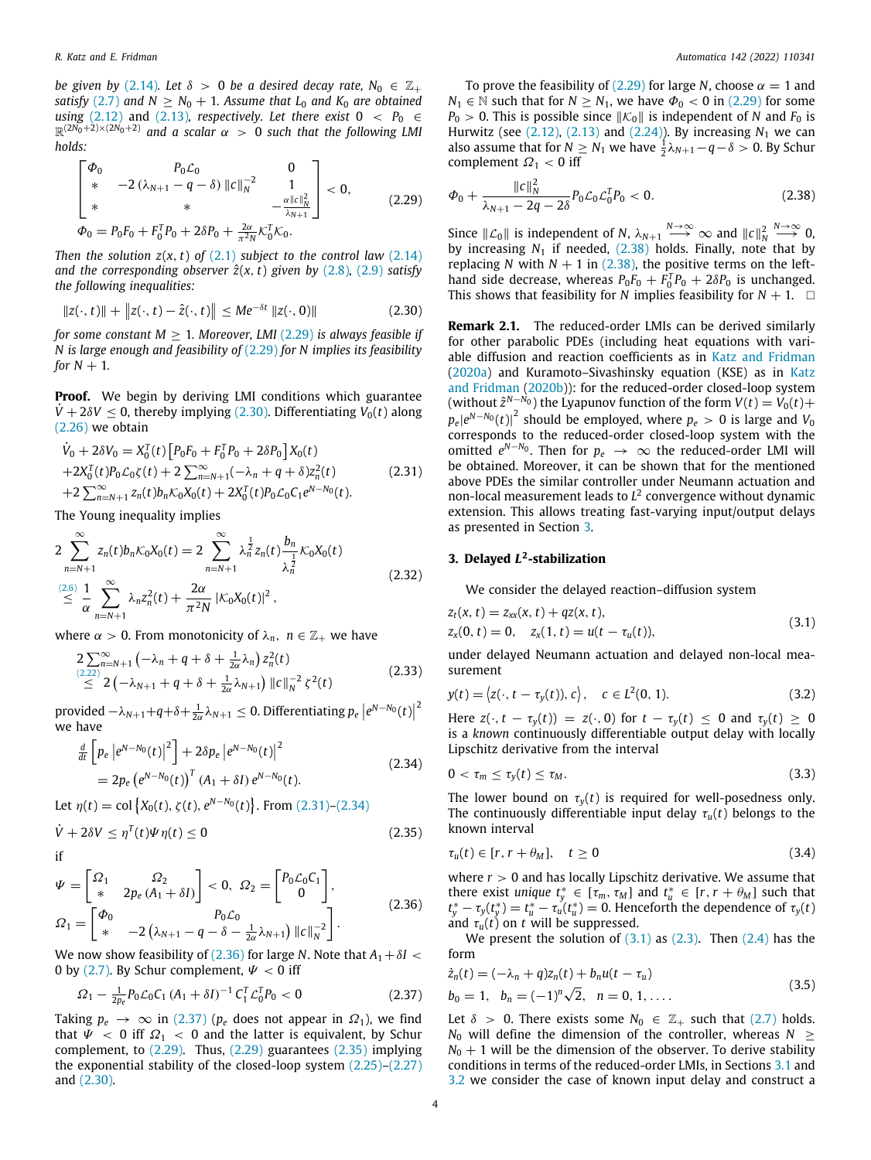*be given by* (2.14)*. Let*  $\delta > 0$  *be a desired decay rate,*  $N_0 \in \mathbb{Z}_+$ *satisfy* (2.7) and  $N > N_0 + 1$ . Assume that  $L_0$  and  $K_0$  are obtained *using* (2.12) and (2.13)*, respectively. Let there exist*  $0 < P_0 \in$  $\mathbb{R}^{(2N_0+2)\times(2N_0+2)}$  and a scalar  $\alpha > 0$  such that the following LMI *holds:*

$$
\begin{bmatrix}\n\Phi_0 & P_0 \mathcal{L}_0 & 0 \\
* & -2 \left( \lambda_{N+1} - q - \delta \right) ||c||_N^{-2} & 1 \\
* & * & -\frac{\alpha ||c||_N^2}{\lambda_{N+1}} \\
\Phi_0 = P_0 F_0 + F_0^T P_0 + 2\delta P_0 + \frac{2\alpha}{\pi^2 N} \mathcal{K}_0^T \mathcal{K}_0.\n\end{bmatrix} < 0,
$$
\n(2.29)

*Then the solution*  $z(x, t)$  *of*  $(2.1)$  *subject to the control law*  $(2.14)$ and the corresponding observer  $\hat{z}(x, t)$  given by  $(2.8)$ ,  $(2.9)$  satisfy *the following inequalities:*

$$
||z(\cdot, t)|| + ||z(\cdot, t) - \hat{z}(\cdot, t)|| \le Me^{-\delta t} ||z(\cdot, 0)|| \qquad (2.30)
$$

*for some constant M* ≥ 1*. Moreover, LMI* (2.29) *is always feasible if N is large enough and feasibility of* (2.29) *for N implies its feasibility for*  $N + 1$ *.* 

**Proof.** We begin by deriving LMI conditions which guarantee  $V + 2\delta V \leq 0$ , thereby implying (2.30). Differentiating  $V_0(t)$  along (2.26) we obtain

$$
\dot{V}_0 + 2\delta V_0 = X_0^T(t) \left[ P_0 F_0 + F_0^T P_0 + 2\delta P_0 \right] X_0(t) \n+ 2X_0^T(t) P_0 C_0 \zeta(t) + 2 \sum_{n=N+1}^{\infty} (-\lambda_n + q + \delta) Z_n^2(t) \n+ 2 \sum_{n=N+1}^{\infty} z_n(t) b_n K_0 X_0(t) + 2X_0^T(t) P_0 C_0 C_1 e^{N - N_0(t)}.
$$
\n(2.31)

The Young inequality implies

$$
2\sum_{n=N+1}^{\infty} z_n(t)b_n\mathcal{K}_0X_0(t) = 2\sum_{n=N+1}^{\infty} \lambda_n^{\frac{1}{2}} z_n(t)\frac{b_n}{\lambda_n^{\frac{1}{2}}} \mathcal{K}_0X_0(t)
$$
  
\n
$$
\stackrel{(2.6)}{\leq} \frac{1}{\alpha} \sum_{n=N+1}^{\infty} \lambda_n z_n^2(t) + \frac{2\alpha}{\pi^2 N} |\mathcal{K}_0X_0(t)|^2,
$$
\n(2.32)

where  $\alpha > 0$ . From monotonicity of  $\lambda_n$ ,  $n \in \mathbb{Z}_+$  we have

$$
\begin{array}{l}\n2\sum_{\substack{(2,22)}\n\leq 2}^{\infty} (-\lambda_n + q + \delta + \frac{1}{2\alpha}\lambda_n) z_n^2(t) \\
\leq 2\left(-\lambda_{N+1} + q + \delta + \frac{1}{2\alpha}\lambda_{N+1}\right) \|c\|_N^{-2} \zeta^2(t)\n\end{array} \tag{2.33}
$$

provided  $-\lambda_{N+1}+q+\delta+\frac{1}{2\alpha}\lambda_{N+1}\leq 0$ . Differentiating  $p_e\left|e^{N-N_0}(t)\right|^2$ we have

$$
\frac{d}{dt} \left[ p_e \left| e^{N - N_0(t)} \right|^2 \right] + 2 \delta p_e \left| e^{N - N_0(t)} \right|^2
$$
\n
$$
= 2 p_e \left( e^{N - N_0(t)} \right)^T (A_1 + \delta I) e^{N - N_0(t)}.
$$
\n(2.34)

Let  $\eta(t) = \text{col}\left\{X_0(t), \zeta(t), e^{N-N_0}(t)\right\}$ . From (2.31)–(2.34)

$$
\dot{V} + 2\delta V \le \eta^{T}(t)\Psi \eta(t) \le 0
$$
\n(2.35)

if

$$
\Psi = \begin{bmatrix} \Omega_1 & \Omega_2 \\ * & 2p_e \left( A_1 + \delta I \right) \end{bmatrix} < 0, \ \Omega_2 = \begin{bmatrix} P_0 \mathcal{L}_0 C_1 \\ 0 \end{bmatrix},
$$
\n
$$
\Omega_1 = \begin{bmatrix} \Phi_0 & P_0 \mathcal{L}_0 \\ * & -2 \left( \lambda_{N+1} - q - \delta - \frac{1}{2\alpha} \lambda_{N+1} \right) \| c \|_N^{-2} \end{bmatrix}.
$$
\n(2.36)

We now show feasibility of (2.36) for large *N*. Note that  $A_1 + \delta I <$ 0 by (2.7). By Schur complement,  $\Psi$  < 0 iff

$$
\Omega_1 - \frac{1}{2p_e} P_0 \mathcal{L}_0 C_1 (A_1 + \delta I)^{-1} C_1^T \mathcal{L}_0^T P_0 < 0 \tag{2.37}
$$

Taking  $p_e \rightarrow \infty$  in (2.37) ( $p_e$  does not appear in  $\Omega_1$ ), we find that  $\Psi$  < 0 iff  $\Omega_1$  < 0 and the latter is equivalent, by Schur complement, to (2.29). Thus, (2.29) guarantees (2.35) implying the exponential stability of the closed-loop system (2.25)–(2.27) and (2.30).

To prove the feasibility of (2.29) for large *N*, choose  $\alpha = 1$  and  $N_1 \in \mathbb{N}$  such that for  $N > N_1$ , we have  $\Phi_0 < 0$  in (2.29) for some  $P_0 > 0$ . This is possible since  $||\mathcal{K}_0||$  is independent of *N* and  $F_0$  is Hurwitz (see  $(2.12)$ ,  $(2.13)$  and  $(2.24)$ ). By increasing  $N_1$  we can also assume that for  $N \geq N_1$  we have  $\frac{1}{2}\lambda_{N+1} - q - \delta > 0$ . By Schur complement  $\Omega_1$  < 0 iff

$$
\Phi_0 + \frac{\|c\|_N^2}{\lambda_{N+1} - 2q - 2\delta} P_0 \mathcal{L}_0 \mathcal{L}_0^T P_0 < 0. \tag{2.38}
$$

Since  $||\mathcal{L}_0||$  is independent of *N*,  $\lambda_{N+1} \xrightarrow{N \to \infty} \infty$  and  $||c||_N^2$ *N*→∞ 0, by increasing  $N_1$  if needed,  $(2.38)$  holds. Finally, note that by replacing *N* with  $N + 1$  in (2.38), the positive terms on the lefthand side decrease, whereas  $P_0F_0 + F_0^T P_0 + 2\delta P_0$  is unchanged. This shows that feasibility for *N* implies feasibility for  $N + 1$ .  $\square$ 

**Remark 2.1.** The reduced-order LMIs can be derived similarly for other parabolic PDEs (including heat equations with variable diffusion and reaction coefficients as in Katz and Fridman (2020a) and Kuramoto–Sivashinsky equation (KSE) as in Katz and Fridman (2020b)): for the reduced-order closed-loop system (without  $\hat{z}^{N-N_0}$ ) the Lyapunov function of the form  $V(t) = V_0(t) +$  $p_e|e^{N-N_0}(t)|^2$  should be employed, where  $p_e > 0$  is large and *V*<sub>0</sub> corresponds to the reduced-order closed-loop system with the omitted  $e^{N-N_0}$ . Then for  $p_e$  → ∞ the reduced-order LMI will be obtained. Moreover, it can be shown that for the mentioned above PDEs the similar controller under Neumann actuation and non-local measurement leads to *L* 2 convergence without dynamic extension. This allows treating fast-varying input/output delays as presented in Section 3.

### **3. Delayed** *L* **2 -stabilization**

We consider the delayed reaction–diffusion system

$$
z_t(x, t) = z_{xx}(x, t) + qz(x, t),
$$
  
\n
$$
z_x(0, t) = 0, \quad z_x(1, t) = u(t - \tau_u(t)),
$$
\n(3.1)

under delayed Neumann actuation and delayed non-local measurement

$$
y(t) = \langle z(\cdot, t - \tau_y(t)), c \rangle, \quad c \in L^2(0, 1). \tag{3.2}
$$

Here  $z(\cdot, t - \tau_v(t)) = z(\cdot, 0)$  for  $t - \tau_v(t) \leq 0$  and  $\tau_v(t) \geq 0$ is a *known* continuously differentiable output delay with locally Lipschitz derivative from the interval

$$
0 < \tau_m \leq \tau_y(t) \leq \tau_M. \tag{3.3}
$$

The lower bound on  $\tau_{\nu}(t)$  is required for well-posedness only. The continuously differentiable input delay  $\tau_u(t)$  belongs to the known interval

$$
\tau_u(t) \in [r, r + \theta_M], \quad t \ge 0 \tag{3.4}
$$

where  $r > 0$  and has locally Lipschitz derivative. We assume that there exist *unique*  $t_y^* \in [\tau_m, \tau_M]$  and  $t_u^* \in [r, r + \theta_M]$  such that  $t_y^* - \tau_y(t_y^*) = t_u^* - \tau_u(t_u^*) = 0$ . Henceforth the dependence of  $\tau_y(t)$ and  $\tau_u(t)$  on *t* will be suppressed.

We present the solution of  $(3.1)$  as  $(2.3)$ . Then  $(2.4)$  has the form

$$
\dot{z}_n(t) = (-\lambda_n + q)z_n(t) + b_n u(t - \tau_u)
$$
  
\n
$$
b_0 = 1, \quad b_n = (-1)^n \sqrt{2}, \quad n = 0, 1, ....
$$
\n(3.5)

Let  $\delta > 0$ . There exists some  $N_0 \in \mathbb{Z}_+$  such that (2.7) holds. *N*<sub>0</sub> will define the dimension of the controller, whereas  $N \geq$  $N_0 + 1$  will be the dimension of the observer. To derive stability conditions in terms of the reduced-order LMIs, in Sections 3.1 and 3.2 we consider the case of known input delay and construct a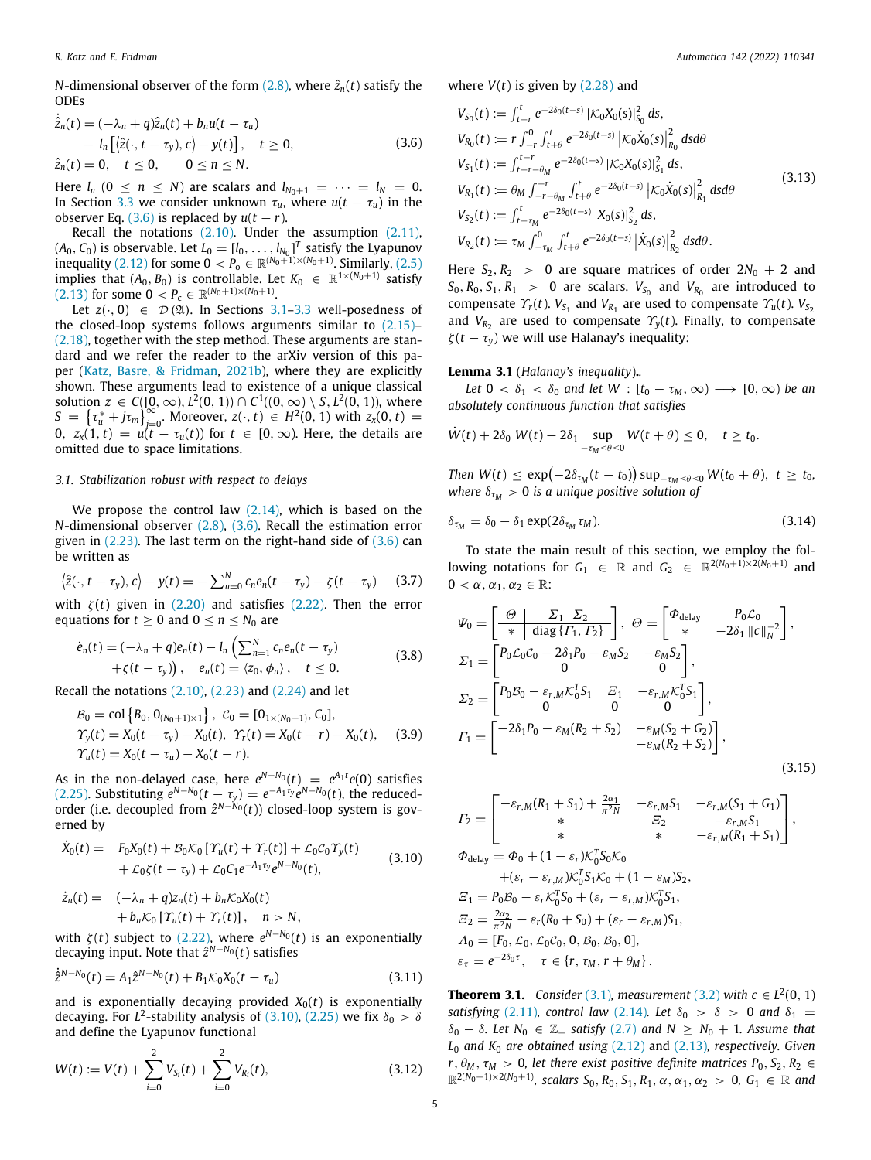$$
\dot{\hat{z}}_n(t) = (-\lambda_n + q)\hat{z}_n(t) + b_n u(t - \tau_u) \n- l_n [(\hat{z}(\cdot, t - \tau_y), c) - y(t)], \quad t \ge 0, \n\hat{z}_n(t) = 0, \quad t \le 0, \quad 0 \le n \le N.
$$
\n(3.6)

Here  $l_n$  ( $0 \le n \le N$ ) are scalars and  $l_{N_0+1} = \cdots = l_N = 0$ . In Section 3.3 we consider unknown  $\tau_u$ , where  $u(t - \tau_u)$  in the observer Eq. (3.6) is replaced by  $u(t - r)$ .

Recall the notations (2.10). Under the assumption (2.11),  $(A_0, C_0)$  is observable. Let  $L_0 = [l_0, \ldots, l_{N_0}]^T$  satisfy the Lyapunov inequality (2.12) for some 0 <  $P_0$  ∈  $\mathbb{R}^{(N_0+1)\times(N_0+1)}$ . Similarly, (2.5) implies that  $(A_0, B_0)$  is controllable. Let  $K_0 \in \mathbb{R}^{1 \times (N_0 + 1)}$  satisfy  $(2.13)$  for some  $0 < P_c \in \mathbb{R}^{(N_0+1)\times(N_0+1)}$ .

Let  $z(\cdot, 0) \in \mathcal{D}(\mathfrak{A})$ . In Sections 3.1-3.3 well-posedness of the closed-loop systems follows arguments similar to (2.15)– (2.18), together with the step method. These arguments are standard and we refer the reader to the arXiv version of this paper (Katz, Basre, & Fridman, 2021b), where they are explicitly shown. These arguments lead to existence of a unique classical solution *z* ∈ *C*([0, ∞), *L*<sup>2</sup>(0, 1)) ∩ *C*<sup>1</sup>((0, ∞) \ *S*, *L*<sup>2</sup>(0, 1)), where  $S = \{ \tau_u^* + j\tau_m \}_{j=0}^{\infty}$ . Moreover, *z*(·, *t*)  $\in$  *H*<sup>2</sup>(0, 1) with *z*<sub>*x*</sub>(0, *t*) = 0,  $z_x(1, t) = u(t - \tau_u(t))$  for  $t \in [0, \infty)$ . Here, the details are omitted due to space limitations.

### *3.1. Stabilization robust with respect to delays*

We propose the control law  $(2.14)$ , which is based on the *N*-dimensional observer (2.8), (3.6). Recall the estimation error given in  $(2.23)$ . The last term on the right-hand side of  $(3.6)$  can be written as

$$
\langle \hat{z}(\cdot, t-\tau_y), c \rangle - y(t) = -\sum_{n=0}^{N} c_n e_n(t-\tau_y) - \zeta(t-\tau_y) \qquad (3.7)
$$

with  $\zeta(t)$  given in (2.20) and satisfies (2.22). Then the error equations for  $t \geq 0$  and  $0 \leq n \leq N_0$  are

$$
\dot{e}_n(t) = (-\lambda_n + q)e_n(t) - l_n \left( \sum_{n=1}^N c_n e_n(t - \tau_y) + \zeta(t - \tau_y) \right), \quad e_n(t) = \langle z_0, \phi_n \rangle, \quad t \le 0.
$$
\n(3.8)

Recall the notations  $(2.10)$ ,  $(2.23)$  and  $(2.24)$  and let

$$
B_0 = \text{col}\left\{B_0, 0_{(N_0+1)\times 1}\right\}, C_0 = [0_{1\times(N_0+1)}, C_0],
$$
  
\n
$$
\gamma_y(t) = X_0(t - \tau_y) - X_0(t), \quad \gamma_r(t) = X_0(t - r) - X_0(t), \quad (3.9)
$$
  
\n
$$
\gamma_u(t) = X_0(t - \tau_u) - X_0(t - r).
$$

As in the non-delayed case, here  $e^{N-N_0}(t) = e^{A_1t}e(0)$  satisfies (2.25). Substituting  $e^{N-N_0}(t - \tau_y) = e^{-A_1 \tau_y} e^{N-N_0}(t)$ , the reducedorder (i.e. decoupled from  $\hat{z}^{N-N_0}(t)$ ) closed-loop system is governed by

$$
\dot{X}_0(t) = F_0 X_0(t) + B_0 K_0 [\Upsilon_u(t) + \Upsilon_r(t)] + \mathcal{L}_0 C_0 \Upsilon_y(t) \n+ \mathcal{L}_0 \zeta(t - \tau_y) + \mathcal{L}_0 C_1 e^{-A_1 \tau_y} e^{N - N_0}(t),
$$
\n(3.10)

$$
\dot{z}_n(t) = \quad (-\lambda_n + q)z_n(t) + b_n \mathcal{K}_0 X_0(t) \n+ b_n \mathcal{K}_0 \left[ \Upsilon_u(t) + \Upsilon_r(t) \right], \quad n > N,
$$

with  $\zeta(t)$  subject to (2.22), where  $e^{N-N_0}(t)$  is an exponentially decaying input. Note that  $\hat{z}^{N-N_0}(t)$  satisfies

$$
\dot{\hat{z}}^{N-N_0}(t) = A_1 \hat{z}^{N-N_0}(t) + B_1 \mathcal{K}_0 X_0(t - \tau_u)
$$
\n(3.11)

and is exponentially decaying provided  $X_0(t)$  is exponentially decaying. For  $L^2$ -stability analysis of (3.10), (2.25) we fix  $\delta_0 > \delta$ and define the Lyapunov functional

$$
W(t) := V(t) + \sum_{i=0}^{2} V_{S_i}(t) + \sum_{i=0}^{2} V_{R_i}(t),
$$
\n(3.12)

where *V*(*t*) is given by (2.28) and

$$
V_{S_0}(t) := \int_{t-r}^{t} e^{-2\delta_0(t-s)} |\mathcal{K}_0 X_0(s)|_{S_0}^2 ds,
$$
  
\n
$$
V_{R_0}(t) := r \int_{-r}^{0} \int_{t+\theta}^{t} e^{-2\delta_0(t-s)} |\mathcal{K}_0 \dot{X}_0(s)|_{R_0}^2 ds d\theta
$$
  
\n
$$
V_{S_1}(t) := \int_{t-r-\theta_M}^{t-r} e^{-2\delta_0(t-s)} |\mathcal{K}_0 X_0(s)|_{S_1}^2 ds,
$$
  
\n
$$
V_{R_1}(t) := \theta_M \int_{-r-\theta_M}^{-r} \int_{t+\theta}^{t} e^{-2\delta_0(t-s)} |\mathcal{K}_0 \dot{X}_0(s)|_{R_1}^2 ds d\theta
$$
  
\n
$$
V_{S_2}(t) := \int_{t-r_M}^{t} e^{-2\delta_0(t-s)} |\mathcal{X}_0(s)|_{S_2}^2 ds,
$$
  
\n
$$
V_{R_2}(t) := \tau_M \int_{-\tau_M}^{0} \int_{t+\theta}^{t} e^{-2\delta_0(t-s)} |\dot{X}_0(s)|_{R_2}^2 ds d\theta.
$$
\n(3.13)

Here  $S_2, R_2 > 0$  are square matrices of order  $2N_0 + 2$  and  $S_0$ ,  $R_0$ ,  $S_1$ ,  $R_1$  > 0 are scalars.  $V_{S_0}$  and  $V_{R_0}$  are introduced to compensate  $\Upsilon_r(t)$ .  $V_{S_1}$  and  $V_{R_1}$  are used to compensate  $\Upsilon_u(t)$ .  $V_{S_2}$ and  $V_{R_2}$  are used to compensate  $\gamma_y(t)$ . Finally, to compensate  $\zeta(t-\tau_{v})$  we will use Halanay's inequality:

# **Lemma 3.1** (*Halanay's inequality*)**.***.*

*Let*  $0 < \delta_1 < \delta_0$  *and let*  $W : [t_0 - \tau_M, \infty) \longrightarrow [0, \infty)$  *be an absolutely continuous function that satisfies*

$$
\dot{W}(t) + 2\delta_0 W(t) - 2\delta_1 \sup_{-\tau_M \leq \theta \leq 0} W(t + \theta) \leq 0, \quad t \geq t_0.
$$

*Then*  $W(t) \le \exp(-2\delta_{\tau_M}(t - t_0)) \sup_{-\tau_M \le \theta \le 0} W(t_0 + \theta), t \ge t_0$ *where*  $\delta_{\tau_M} > 0$  *is a unique positive solution of* 

$$
\delta_{\tau_M} = \delta_0 - \delta_1 \exp(2\delta_{\tau_M} \tau_M). \tag{3.14}
$$

To state the main result of this section, we employ the following notations for  $G_1 \in \mathbb{R}$  and  $G_2 \in \mathbb{R}^{2(N_0+1)\times 2(N_0+1)}$  and  $0 < \alpha, \alpha_1, \alpha_2 \in \mathbb{R}$ :

$$
\Psi_0 = \begin{bmatrix} \frac{\Theta}{*} & \frac{\Sigma_1}{2} & \Sigma_2\\ \frac{\Theta}{*} & \text{diag}\{ \Gamma_1, \Gamma_2 \} \end{bmatrix}, \quad \Theta = \begin{bmatrix} \Phi_{\text{delay}} & P_0 C_0\\ * & -2\delta_1 ||c||_N^{-2} \end{bmatrix},
$$
\n
$$
\Sigma_1 = \begin{bmatrix} P_0 C_0 C_0 - 2\delta_1 P_0 - \varepsilon_M S_2 & -\varepsilon_M S_2\\ 0 & 0 \end{bmatrix},
$$
\n
$$
\Sigma_2 = \begin{bmatrix} P_0 B_0 - \varepsilon_{r,M} K_0^T S_1 & \Xi_1 & -\varepsilon_{r,M} K_0^T S_1\\ 0 & 0 & 0 \end{bmatrix},
$$
\n
$$
\Gamma_1 = \begin{bmatrix} -2\delta_1 P_0 - \varepsilon_M (R_2 + S_2) & -\varepsilon_M (S_2 + G_2)\\ -\varepsilon_M (R_2 + S_2) \end{bmatrix},
$$
\n(3.15)

$$
F_2 = \begin{bmatrix} -\varepsilon_{r,M}(R_1 + S_1) + \frac{2\alpha_1}{\pi^2 N} & -\varepsilon_{r,M} S_1 & -\varepsilon_{r,M}(S_1 + G_1) \\ * & S_2 & -\varepsilon_{r,M} S_1 \\ * & * & -\varepsilon_{r,M}(R_1 + S_1) \end{bmatrix},
$$
  
\n
$$
\Phi_{\text{delay}} = \Phi_0 + (1 - \varepsilon_r) \mathcal{K}_0^T S_0 \mathcal{K}_0
$$
  
\n
$$
+ (\varepsilon_r - \varepsilon_{r,M}) \mathcal{K}_0^T S_1 \mathcal{K}_0 + (1 - \varepsilon_M) S_2,
$$
  
\n
$$
S_1 = P_0 B_0 - \varepsilon_r \mathcal{K}_0^T S_0 + (\varepsilon_r - \varepsilon_{r,M}) \mathcal{K}_0^T S_1,
$$
  
\n
$$
S_2 = \frac{2\alpha_2}{\pi^2 N} - \varepsilon_r (R_0 + S_0) + (\varepsilon_r - \varepsilon_{r,M}) S_1,
$$
  
\n
$$
A_0 = [F_0, \mathcal{L}_0, \mathcal{L}_0 C_0, 0, B_0, B_0, 0],
$$
  
\n
$$
\varepsilon_{\tau} = e^{-2\delta_0 \tau}, \quad \tau \in \{r, \tau_M, r + \theta_M\}.
$$

**Theorem 3.1.** *Consider* (3.1), *measurement* (3.2) *with*  $c \text{ ∈ } L^2(0, 1)$ *satisfying* (2.11)*, control law* (2.14)*. Let*  $\delta_0 > \delta > 0$  *and*  $\delta_1 =$  $\delta_0 - \delta$ *. Let*  $N_0 \in \mathbb{Z}_+$  *satisfy* (2.7) and  $N \geq N_0 + 1$ *. Assume that L*<sup>0</sup> *and K*<sup>0</sup> *are obtained using* (2.12) and (2.13)*, respectively. Given*  $r, \theta_M, \tau_M > 0$ , let there exist positive definite matrices  $P_0, S_2, R_2 \in$  $\mathbb{R}^{2(N_0+1)\times 2(N_0+1)}$ *, scalars*  $S_0$ *,*  $R_0$ *,*  $S_1$ *,*  $R_1$ *,*  $\alpha$ *,*  $\alpha_1$ *,*  $\alpha_2$  > 0*,*  $G_1 \in \mathbb{R}$  and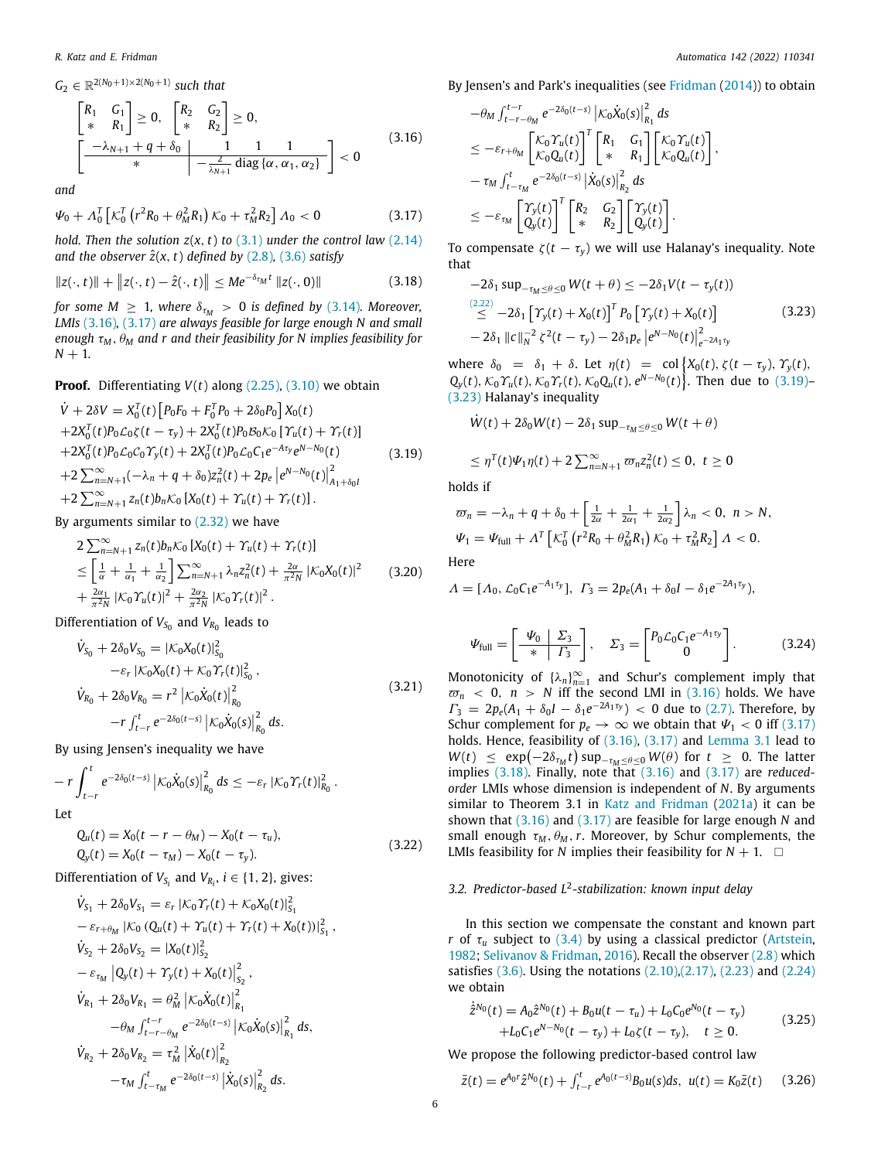$G_2 \in \mathbb{R}^{2(N_0+1)\times 2(N_0+1)}$  *such that* 

$$
\begin{bmatrix} R_1 & G_1 \\ * & R_1 \end{bmatrix} \geq 0, \quad\n\begin{bmatrix} R_2 & G_2 \\ * & R_2 \end{bmatrix} \geq 0, \\
\begin{bmatrix} -\lambda_{N+1} + q + \delta_0 & 1 & 1 \\ * & -\frac{2}{\lambda_{N+1}} \operatorname{diag}\{\alpha, \alpha_1, \alpha_2\} \end{bmatrix} < 0
$$
\n(3.16)

*and*

$$
\Psi_0 + \Lambda_0^T \left[ \mathcal{K}_0^T \left( r^2 R_0 + \theta_M^2 R_1 \right) \mathcal{K}_0 + \tau_M^2 R_2 \right] \Lambda_0 < 0 \tag{3.17}
$$

*hold. Then the solution*  $z(x, t)$  *to* (3.1) *under the control law* (2.14) *and the observer*  $\hat{z}(x, t)$  *defined by*  $(2.8)$ *,*  $(3.6)$  *satisfy* 

$$
||z(\cdot, t)|| + ||z(\cdot, t) - \hat{z}(\cdot, t)|| \le Me^{-\delta_{\tau_M} t} ||z(\cdot, 0)|| \tag{3.18}
$$

*for some M*  $\geq$  1*, where*  $\delta_{\tau_M}$   $>$  0 *is defined by* (3.14)*. Moreover, LMIs* (3.16)*,* (3.17) *are always feasible for large enough N and small enough*  $\tau_M$ ,  $\theta_M$  *and r and their feasibility for N implies feasibility for*  $N + 1$ .

**Proof.** Differentiating  $V(t)$  along  $(2.25)$ ,  $(3.10)$  we obtain *T*

$$
\dot{V} + 2\delta V = X_0^T(t) \left[ P_0 F_0 + F_0^T P_0 + 2\delta_0 P_0 \right] X_0(t) \n+ 2X_0^T(t) P_0 C_0 \zeta(t - \tau_y) + 2X_0^T(t) P_0 B_0 K_0 \left[ Y_u(t) + Y_r(t) \right] \n+ 2X_0^T(t) P_0 C_0 C_0 Y_y(t) + 2X_0^T(t) P_0 C_0 C_1 e^{-A\tau_y} e^{N - N_0}(t) \n+ 2 \sum_{n=N+1}^{\infty} (-\lambda_n + q + \delta_0) z_n^2(t) + 2p_e \left[ e^{N - N_0}(t) \right]_{A_1 + \delta_0 I}^2 \n+ 2 \sum_{n=N+1}^{\infty} z_n(t) b_n K_0 \left[ X_0(t) + Y_u(t) + Y_r(t) \right].
$$
\n(3.19)

By arguments similar to  $(2.32)$  we have

$$
2\sum_{n=N+1}^{\infty} z_n(t) b_n \kappa_0 \left[ X_0(t) + \Upsilon_u(t) + \Upsilon_r(t) \right]
$$
  
\n
$$
\leq \left[ \frac{1}{\alpha} + \frac{1}{\alpha_1} + \frac{1}{\alpha_2} \right] \sum_{n=N+1}^{\infty} \lambda_n z_n^2(t) + \frac{2\alpha}{\pi^2 N} \left| \kappa_0 X_0(t) \right|^2
$$
 (3.20)  
\n
$$
+ \frac{2\alpha_1}{\pi^2 N} \left| \kappa_0 \Upsilon_u(t) \right|^2 + \frac{2\alpha_2}{\pi^2 N} \left| \kappa_0 \Upsilon_r(t) \right|^2.
$$

Differentiation of  $V_{S_0}$  and  $V_{R_0}$  leads to

$$
\dot{V}_{S_0} + 2\delta_0 V_{S_0} = |\mathcal{K}_0 X_0(t)|_{S_0}^2 \n- \varepsilon_r |\mathcal{K}_0 X_0(t) + \mathcal{K}_0 \gamma_r(t)|_{S_0}^2 ,\n\dot{V}_{R_0} + 2\delta_0 V_{R_0} = r^2 |\mathcal{K}_0 \dot{X}_0(t)|_{R_0}^2 \n- r \int_{t-r}^t e^{-2\delta_0(t-s)} |\mathcal{K}_0 \dot{X}_0(s)|_{R_0}^2 ds.
$$
\n(3.21)

By using Jensen's inequality we have

$$
- r \int_{t-r}^t e^{-2\delta_0(t-s)} \left| \mathcal{K}_0 \dot{X}_0(s) \right|_{R_0}^2 ds \leq - \varepsilon_r \left| \mathcal{K}_0 \Upsilon_r(t) \right|_{R_0}^2.
$$
  
Let

$$
Q_{u}(t) = X_{0}(t - r - \theta_{M}) - X_{0}(t - \tau_{u}),
$$
  
\n
$$
Q_{y}(t) = X_{0}(t - \tau_{M}) - X_{0}(t - \tau_{y}).
$$
\n(3.22)

Differentiation of  $V_{S_i}$  and  $V_{R_i}$ ,  $i \in \{1, 2\}$ , gives:

$$
\dot{V}_{S_1} + 2\delta_0 V_{S_1} = \varepsilon_r |K_0 \Upsilon_r(t) + K_0 X_0(t)|_{S_1}^2
$$
\n
$$
- \varepsilon_{r+\theta_M} |K_0 (Q_u(t) + \Upsilon_u(t) + \Upsilon_r(t) + X_0(t))|_{S_1}^2,
$$
\n
$$
\dot{V}_{S_2} + 2\delta_0 V_{S_2} = |X_0(t)|_{S_2}^2
$$
\n
$$
- \varepsilon_{\tau_M} |Q_y(t) + \Upsilon_y(t) + X_0(t)|_{S_2}^2,
$$
\n
$$
\dot{V}_{R_1} + 2\delta_0 V_{R_1} = \theta_M^2 |K_0 \dot{X}_0(t)|_{R_1}^2
$$
\n
$$
- \theta_M \int_{t-r-\theta_M}^{t-r} e^{-2\delta_0(t-s)} |K_0 \dot{X}_0(s)|_{R_1}^2 ds,
$$
\n
$$
\dot{V}_{R_2} + 2\delta_0 V_{R_2} = \tau_M^2 |X_0(t)|_{R_2}^2
$$
\n
$$
- \tau_M \int_{t-\tau_M}^t e^{-2\delta_0(t-s)} |X_0(s)|_{R_2}^2 ds.
$$

By Jensen's and Park's inequalities (see Fridman (2014)) to obtain

$$
-\theta_{M} \int_{t-r-\theta_{M}}^{t-r} e^{-2\delta_{0}(t-s)} \left| \mathcal{K}_{0}\dot{\mathbf{X}}_{0}(s) \right|_{R_{1}}^{2} ds
$$
  
\n
$$
\leq -\varepsilon_{r+\theta_{M}} \left[ \mathcal{K}_{0} \mathcal{O}_{u}(t) \right]^{T} \left[ \begin{array}{cc} R_{1} & G_{1} \\ * & R_{1} \end{array} \right] \left[ \mathcal{K}_{0} \mathcal{O}_{u}(t) \right],
$$
  
\n
$$
-\tau_{M} \int_{t-\tau_{M}}^{t} e^{-2\delta_{0}(t-s)} \left| \dot{\mathbf{X}}_{0}(s) \right|_{R_{2}}^{2} ds
$$
  
\n
$$
\leq -\varepsilon_{\tau_{M}} \left[ \begin{array}{c} \gamma_{y}(t) \\ Q_{y}(t) \end{array} \right]^{T} \left[ \begin{array}{cc} R_{2} & G_{2} \\ * & R_{2} \end{array} \right] \left[ \begin{array}{c} \gamma_{y}(t) \\ Q_{y}(t) \end{array} \right].
$$

To compensate  $\zeta(t - \tau_v)$  we will use Halanay's inequality. Note that

$$
-2\delta_1 \sup_{-\tau_M \le \theta \le 0} W(t + \theta) \le -2\delta_1 V(t - \tau_y(t))
$$
  
\n
$$
\le -2\delta_1 \left[ \gamma_y(t) + X_0(t) \right]^T P_0 \left[ \gamma_y(t) + X_0(t) \right]
$$
  
\n
$$
-2\delta_1 ||c||_N^{-2} \zeta^2(t - \tau_y) - 2\delta_1 p_e \left| e^{N - N_0(t)} \right|_{e^{-2A_1 t y}}^2
$$
\n(3.23)

where  $\delta_0 = \delta_1 + \delta$ . Let  $\eta(t) = \text{col} \{X_0(t), \zeta(t - \tau_y), \Upsilon_y(t),\}$  $Q_y(t)$ ,  $K_0 \gamma_u(t)$ ,  $K_0 \gamma_r(t)$ ,  $K_0 Q_u(t)$ ,  $e^{N-N_0}(t)$ . Then due to (3.19)– (3.23) Halanay's inequality

$$
\dot{W}(t)+2\delta_0 W(t)-2\delta_1\sup\nolimits_{-\tau_M\leq\theta\leq0}W(t+\theta)
$$

$$
\leq \eta^{T}(t)\Psi_{1}\eta(t)+2\sum_{n=N+1}^{\infty}\varpi_{n}z_{n}^{2}(t)\leq 0, \ t\geq 0
$$

holds if

$$
\varpi_n = -\lambda_n + q + \delta_0 + \left[\frac{1}{2\alpha} + \frac{1}{2\alpha_1} + \frac{1}{2\alpha_2}\right] \lambda_n < 0, \ n > N,
$$
  

$$
\Psi_1 = \Psi_{\text{full}} + \Lambda^T \left[\mathcal{K}_0^T \left(r^2 R_0 + \theta_M^2 R_1\right) \mathcal{K}_0 + \tau_M^2 R_2\right] \Lambda < 0.
$$

Here

$$
\Lambda = [\Lambda_0, \mathcal{L}_0 C_1 e^{-A_1 \tau_y}], \ \Gamma_3 = 2p_e(A_1 + \delta_0 I - \delta_1 e^{-2A_1 \tau_y}),
$$

$$
\Psi_{\text{full}} = \begin{bmatrix} \Psi_0 & \Sigma_3 \\ * & \Gamma_3 \end{bmatrix}, \quad \Sigma_3 = \begin{bmatrix} P_0 \mathcal{L}_0 C_1 e^{-A_1 \tau_y} \\ 0 \end{bmatrix} . \tag{3.24}
$$

Monotonicity of  $\{\lambda_n\}_{n=1}^{\infty}$  and Schur's complement imply that  $\overline{w}_n$  < 0,  $n > N$  iff the second LMI in (3.16) holds. We have  $\Gamma_3 = 2p_e(A_1 + \delta_0 I - \delta_1 e^{-2A_1\tau_y})$  < 0 due to (2.7). Therefore, by Schur complement for  $p_e \rightarrow \infty$  we obtain that  $\Psi_1 < 0$  iff (3.17) holds. Hence, feasibility of (3.16), (3.17) and Lemma 3.1 lead to  $W(t) \leq \exp(-2\delta_{\tau_M}t) \sup_{-\tau_M \leq \theta \leq 0} W(\theta)$  for  $t \geq 0$ . The latter implies (3.18). Finally, note that (3.16) and (3.17) are *reducedorder* LMIs whose dimension is independent of *N*. By arguments similar to Theorem 3.1 in Katz and Fridman (2021a) it can be shown that (3.16) and (3.17) are feasible for large enough *N* and small enough  $\tau_M$ ,  $\theta_M$ , r. Moreover, by Schur complements, the LMIs feasibility for *N* implies their feasibility for  $N + 1$ .  $\square$ 

### *3.2. Predictor-based L*<sup>2</sup> *-stabilization: known input delay*

In this section we compensate the constant and known part *r* of  $\tau_u$  subject to (3.4) by using a classical predictor (Artstein, 1982; Selivanov & Fridman, 2016). Recall the observer (2.8) which satisfies (3.6). Using the notations (2.10),(2.17), (2.23) and (2.24) we obtain

$$
\dot{\hat{z}}^{N_0}(t) = A_0 \hat{z}^{N_0}(t) + B_0 u(t - \tau_u) + L_0 C_0 e^{N_0}(t - \tau_y) \n+ L_0 C_1 e^{N - N_0}(t - \tau_y) + L_0 \zeta(t - \tau_y), \quad t \ge 0.
$$
\n(3.25)

We propose the following predictor-based control law

$$
\bar{z}(t) = e^{A_0 r} \hat{z}^{N_0}(t) + \int_{t-r}^t e^{A_0(t-s)} B_0 u(s) ds, \ u(t) = K_0 \bar{z}(t) \qquad (3.26)
$$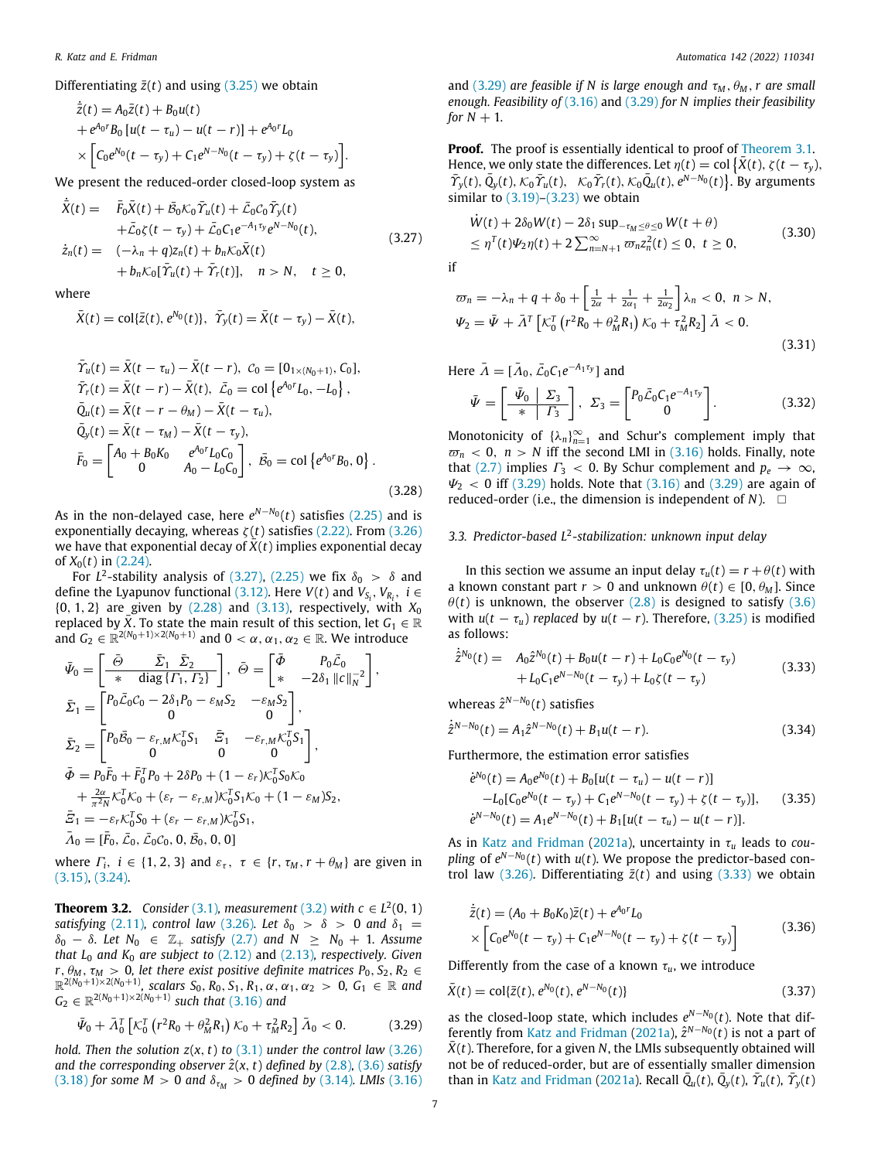Differentiating  $\bar{z}(t)$  and using  $(3.25)$  we obtain

$$
\dot{\bar{z}}(t) = A_0 \bar{z}(t) + B_0 u(t) \n+ e^{A_0 r} B_0 [u(t - \tau_u) - u(t - r)] + e^{A_0 r} L_0 \n\times \left[ C_0 e^{N_0} (t - \tau_y) + C_1 e^{N - N_0} (t - \tau_y) + \zeta (t - \tau_y) \right].
$$

We present the reduced-order closed-loop system as

$$
\dot{\bar{X}}(t) = \bar{F}_0 \bar{X}(t) + \bar{B}_0 \mathcal{K}_0 \bar{\Upsilon}_u(t) + \bar{\mathcal{L}}_0 \mathcal{C}_0 \bar{\Upsilon}_y(t) \n+ \bar{\mathcal{L}}_0 \zeta(t - \tau_y) + \bar{\mathcal{L}}_0 \mathcal{C}_1 e^{-A_1 \tau_y} e^{N - N_0}(t), \n\dot{z}_n(t) = (-\lambda_n + q) z_n(t) + b_n \mathcal{K}_0 \bar{X}(t) \n+ b_n \mathcal{K}_0 [\bar{\Upsilon}_u(t) + \bar{\Upsilon}_r(t)], \quad n > N, \quad t \ge 0,
$$
\n(3.27)

where

$$
\bar{X}(t) = \text{col}\{\bar{z}(t), e^{N_0}(t)\}, \ \ \bar{\Upsilon}_y(t) = \bar{X}(t - \tau_y) - \bar{X}(t),
$$

$$
\begin{aligned}\n\bar{\Upsilon}_{u}(t) &= \bar{X}(t - \tau_{u}) - \bar{X}(t - r), \ C_{0} = [0_{1 \times (N_{0}+1)}, C_{0}], \\
\bar{\Upsilon}_{r}(t) &= \bar{X}(t - r) - \bar{X}(t), \ \bar{L}_{0} = \text{col}\left\{e^{A_{0}r}L_{0}, -L_{0}\right\}, \\
\bar{Q}_{u}(t) &= \bar{X}(t - r - \theta_{M}) - \bar{X}(t - \tau_{u}), \\
\bar{Q}_{y}(t) &= \bar{X}(t - \tau_{M}) - \bar{X}(t - \tau_{y}), \\
\bar{F}_{0} &= \begin{bmatrix} A_{0} + B_{0}K_{0} & e^{A_{0}r}L_{0}C_{0} \\ 0 & A_{0} - L_{0}C_{0} \end{bmatrix}, \ \bar{B}_{0} = \text{col}\left\{e^{A_{0}r}B_{0}, 0\right\}.\n\end{aligned} \tag{3.28}
$$

As in the non-delayed case, here *e <sup>N</sup>*−*N*<sup>0</sup> (*t*) satisfies (2.25) and is exponentially decaying, whereas  $\zeta(t)$  satisfies (2.22). From (3.26) we have that exponential decay of  $X(t)$  implies exponential decay of  $X_0(t)$  in (2.24).

For  $L^2$ -stability analysis of (3.27), (2.25) we fix  $\delta_0$   $>$   $\delta$  and define the Lyapunov functional (3.12). Here  $V(t)$  and  $V_{S_i}$ ,  $V_{R_i}$ ,  $i \in$ {0, 1, 2} are given by (2.28) and (3.13), respectively, with *X*<sup>0</sup> replaced by  $\bar{X}$ . To state the main result of this section, let  $G_1 \in \mathbb{R}$ and  $G_2 \in \mathbb{R}^{2(N_0+1)\times 2(N_0+1)}$  and  $0 < \alpha, \alpha_1, \alpha_2 \in \mathbb{R}$ . We introduce

$$
\bar{\Psi}_0 = \begin{bmatrix} \frac{\bar{\Theta}}{2} & \bar{\Sigma}_1 & \bar{\Sigma}_2\\ \frac{\bar{\Theta}}{2} & \bar{\Theta}_1 & \bar{\Theta}_2\\ \frac{\bar{\Theta}}{2} & \bar{\Theta}_1 & -2\delta_1 |\mathcal{C}||_N^{-2} \end{bmatrix},
$$
\n
$$
\bar{\Sigma}_1 = \begin{bmatrix} P_0 \bar{\mathcal{L}}_0 C_0 - 2\delta_1 P_0 - \varepsilon_M S_2 & -\varepsilon_M S_2\\ 0 & 0 & 0 \end{bmatrix},
$$
\n
$$
\bar{\Sigma}_2 = \begin{bmatrix} P_0 \bar{\mathcal{B}}_0 - \varepsilon_{r,M} \mathcal{K}_0^T S_1 & \bar{\mathcal{E}}_1 & -\varepsilon_{r,M} \mathcal{K}_0^T S_1\\ 0 & 0 & 0 \end{bmatrix},
$$
\n
$$
\bar{\Phi} = P_0 \bar{F}_0 + \bar{F}_0^T P_0 + 2\delta P_0 + (1 - \varepsilon_r) \mathcal{K}_0^T S_0 \mathcal{K}_0
$$
\n
$$
+ \frac{2\alpha}{\pi^2 N} \mathcal{K}_0^T \mathcal{K}_0 + (\varepsilon_r - \varepsilon_{r,M}) \mathcal{K}_0^T S_1 \mathcal{K}_0 + (1 - \varepsilon_M) S_2,
$$
\n
$$
\bar{\mathcal{E}}_1 = -\varepsilon_r \mathcal{K}_0^T S_0 + (\varepsilon_r - \varepsilon_{r,M}) \mathcal{K}_0^T S_1,
$$
\n
$$
\bar{\Lambda}_0 = [\bar{F}_0, \bar{\mathcal{L}}_0, \bar{\mathcal{L}}_0 \mathcal{C}_0, 0, \bar{\mathcal{B}}_0, 0, 0]
$$

where  $\Gamma_i$ ,  $i \in \{1, 2, 3\}$  and  $\varepsilon_{\tau}$ ,  $\tau \in \{r, \tau_M, r + \theta_M\}$  are given in (3.15), (3.24).

**Theorem 3.2.** Consider (3.1), measurement (3.2) with  $c \in L^2(0, 1)$ *satisfying* (2.11)*, control law* (3.26)*. Let*  $\delta_0$  >  $\delta$  > 0 *and*  $\delta_1$  = δ<sup>0</sup> − δ*. Let N*<sup>0</sup> ∈ Z<sup>+</sup> *satisfy* (2.7) *and N* ≥ *N*<sup>0</sup> + 1*. Assume that L*<sup>0</sup> *and K*<sup>0</sup> *are subject to* (2.12) and (2.13)*, respectively. Given*  $r, \theta_M, \tau_M > 0$ , let there exist positive definite matrices  $P_0, S_2, R_2 \in \mathbb{R}^{2(N_0+1)\times 2(N_0+1)}$ , scalars  $S_0, R_0, S_1, R_1, \alpha, \alpha_1, \alpha_2 > 0$ ,  $G_1 \in \mathbb{R}$  and  $G_2 \in \mathbb{R}^{2(N_0+1)\times 2(N_0+1)}$  *such that* (3.16) *and* 

$$
\bar{\Psi}_0 + \bar{A}_0^T \left[ \mathcal{K}_0^T \left( r^2 R_0 + \theta_M^2 R_1 \right) \mathcal{K}_0 + \tau_M^2 R_2 \right] \bar{A}_0 < 0. \tag{3.29}
$$

*hold. Then the solution*  $z(x, t)$  *to*  $(3.1)$  *under the control law*  $(3.26)$ *and the corresponding observer*  $\hat{z}(x, t)$  *defined by* (2.8)*,* (3.6*) satisfy* (3.18) *for some M* > 0 *and*  $\delta_{\tau_M}$  > 0 *defined by* (3.14)*. LMIs* (3.16) and (3.29) are feasible if N is large enough and  $\tau_M$ ,  $\theta_M$ , r are small *enough. Feasibility of* (3.16) and (3.29) *for N implies their feasibility for*  $N + 1$ *.* 

**Proof.** The proof is essentially identical to proof of Theorem 3.1. Hence, we only state the differences. Let  $\eta(t) = \text{col} \{\bar{X}(t), \zeta(t - \tau_y),\}$  $\overline{\hat{\Upsilon}}_y(t), \overline{\hat{Q}}_y(t), \overline{\hat{X}_0 \hat{\Upsilon}_u(t)}, \overline{\hat{X}_0 \hat{\Upsilon}_r(t)}, \overline{\hat{X}_0 \hat{Q}_u(t)}, e^{N-N_0}(t)\}$ . By arguments similar to  $(3.19)$ – $(3.23)$  we obtain

$$
\dot{W}(t) + 2\delta_0 W(t) - 2\delta_1 \sup_{-\tau_M \le \theta \le 0} W(t + \theta) \n\le \eta^T(t)\Psi_2 \eta(t) + 2 \sum_{n=N+1}^{\infty} \sigma_n z_n^2(t) \le 0, \quad t \ge 0,
$$
\n(3.30)

if

$$
\varpi_n = -\lambda_n + q + \delta_0 + \left[\frac{1}{2\alpha} + \frac{1}{2\alpha_1} + \frac{1}{2\alpha_2}\right] \lambda_n < 0, \ n > N,
$$
  

$$
\Psi_2 = \bar{\Psi} + \bar{\Lambda}^T \left[\mathcal{K}_0^T \left(r^2 R_0 + \theta_M^2 R_1\right) \mathcal{K}_0 + \tau_M^2 R_2\right] \bar{\Lambda} < 0.
$$
  
(3.31)

Here  $\bar{\Lambda} = [\bar{\Lambda}_0, \bar{\mathcal{L}}_0 C_1 e^{-A_1 \tau_y}]$  and

$$
\bar{\Psi} = \begin{bmatrix} \bar{\Psi}_0 & \Sigma_3 \\ \hline \ast & \Gamma_3 \end{bmatrix}, \ \Sigma_3 = \begin{bmatrix} P_0 \bar{\mathcal{L}}_0 C_1 e^{-A_1 \tau_y} \\ 0 \end{bmatrix} . \tag{3.32}
$$

Monotonicity of  $\{\lambda_n\}_{n=1}^{\infty}$  and Schur's complement imply that  $\overline{w}_n$  < 0,  $n > N$  iff the second LMI in (3.16) holds. Finally, note that (2.7) implies  $\Gamma_3 < 0$ . By Schur complement and  $p_e \to \infty$ ,  $\Psi_2$  < 0 iff (3.29) holds. Note that (3.16) and (3.29) are again of reduced-order (i.e., the dimension is independent of  $N$ ).  $\square$ 

## *3.3. Predictor-based L*<sup>2</sup> *-stabilization: unknown input delay*

In this section we assume an input delay  $\tau_u(t) = r + \theta(t)$  with a known constant part  $r > 0$  and unknown  $\theta(t) \in [0, \theta_M]$ . Since  $\theta(t)$  is unknown, the observer (2.8) is designed to satisfy (3.6) with  $u(t - \tau_u)$  *replaced* by  $u(t - r)$ . Therefore, (3.25) is modified as follows:

$$
\dot{\hat{z}}^{N_0}(t) = A_0 \hat{z}^{N_0}(t) + B_0 u(t-r) + L_0 C_0 e^{N_0}(t-\tau_y) + L_0 C_1 e^{N-N_0}(t-\tau_y) + L_0 \zeta(t-\tau_y)
$$
\n(3.33)

*whereas*  $\hat{z}^{N-N_0}(t)$  satisfies

$$
\dot{\tilde{z}}^{N-N_0}(t) = A_1 \hat{z}^{N-N_0}(t) + B_1 u(t-r).
$$
\n(3.34)

Furthermore, the estimation error satisfies

$$
\dot{e}^{N_0}(t) = A_0 e^{N_0}(t) + B_0[u(t - \tau_u) - u(t - r)]
$$
  
\n
$$
-L_0[C_0 e^{N_0}(t - \tau_y) + C_1 e^{N - N_0}(t - \tau_y) + \zeta(t - \tau_y)], \qquad (3.35)
$$
  
\n
$$
\dot{e}^{N - N_0}(t) = A_1 e^{N - N_0}(t) + B_1[u(t - \tau_u) - u(t - r)].
$$

As in Katz and Fridman (2021a), uncertainty in τ*<sup>u</sup>* leads to *coupling* of  $e^{N-N_0}(t)$  with  $u(t)$ . We propose the predictor-based control law (3.26). Differentiating  $\bar{z}(t)$  and using (3.33) we obtain

$$
\dot{\bar{z}}(t) = (A_0 + B_0 K_0) \bar{z}(t) + e^{A_0 r} L_0
$$
\n
$$
\times \left[ C_0 e^{N_0} (t - \tau_y) + C_1 e^{N - N_0} (t - \tau_y) + \zeta (t - \tau_y) \right]
$$
\n(3.36)

Differently from the case of a known  $\tau_u$ , we introduce

$$
\bar{X}(t) = \text{col}\{\bar{z}(t), e^{N_0}(t), e^{N - N_0}(t)\}\tag{3.37}
$$

as the closed-loop state, which includes  $e^{N-N_0}(t)$ . Note that differently from Katz and Fridman (2021a),  $\hat{z}^{N-N_0}(t)$  is not a part of  $\bar{X}(t)$ . Therefore, for a given *N*, the LMIs subsequently obtained will not be of reduced-order, but are of essentially smaller dimension than in Katz and Fridman (2021a). Recall  $\overline{Q}_{u}(t)$ ,  $\overline{Q}_{y}(t)$ ,  $\overline{\Upsilon}_{u}(t)$ ,  $\overline{\Upsilon}_{y}(t)$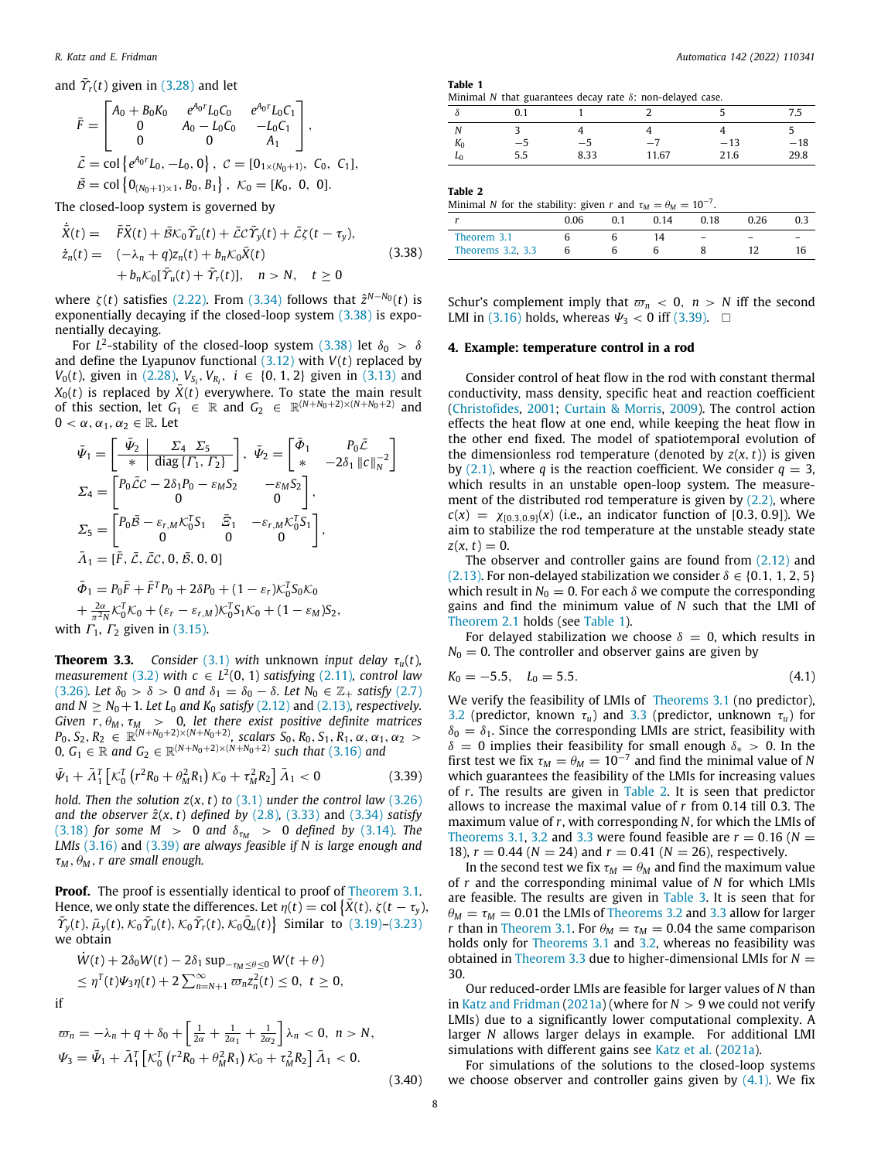and  $\bar{\gamma}_r(t)$  given in (3.28) and let

$$
\begin{aligned}\n\bar{F} &= \begin{bmatrix} A_0 + B_0 K_0 & e^{A_0 r} L_0 C_0 & e^{A_0 r} L_0 C_1 \\
0 & A_0 - L_0 C_0 & -L_0 C_1 \\
0 & 0 & A_1 \end{bmatrix}, \\
\bar{L} &= \text{col}\left\{ e^{A_0 r} L_0, -L_0, 0 \right\}, \quad C = [0_{1 \times (N_0 + 1)}, C_0, C_1], \\
\bar{B} &= \text{col}\left\{ 0_{(N_0 + 1) \times 1}, B_0, B_1 \right\}, \quad K_0 = [K_0, 0, 0].\n\end{aligned}
$$

The closed-loop system is governed by

$$
\dot{\bar{X}}(t) = \bar{F}\bar{X}(t) + \bar{B}\mathcal{K}_0\bar{\Upsilon}_u(t) + \bar{\mathcal{L}}\mathcal{C}\bar{\Upsilon}_y(t) + \bar{\mathcal{L}}\zeta(t - \tau_y),
$$
\n
$$
\dot{z}_n(t) = (-\lambda_n + q)z_n(t) + b_n\mathcal{K}_0\bar{X}(t) + b_n\mathcal{K}_0\bar{Y}(t) + \bar{\Upsilon}_r(t)], \quad n > N, \quad t \ge 0
$$
\n(3.38)

where  $\zeta(t)$  satisfies (2.22). From (3.34) follows that  $\hat{z}^{N-N_0}(t)$  is exponentially decaying if the closed-loop system (3.38) is exponentially decaying.

For  $L^2$ -stability of the closed-loop system (3.38) let  $\delta_0 > \delta$ and define the Lyapunov functional  $(3.12)$  with  $V(t)$  replaced by *V*<sub>0</sub>(*t*), given in (2.28), *V*<sub>*S*<sup>*i*</sup>, *V*<sub>*R*<sup>*i*</sup>, *i* ∈ {0, 1, 2} given in (3.13) and</sub></sub>  $X_0(t)$  is replaced by  $\bar{X}(t)$  everywhere. To state the main result of this section, let  $G_1 \in \mathbb{R}$  and  $G_2 \in \mathbb{R}^{(N+N_0+2)\times(N+N_0+2)}$  and  $0 < \alpha, \alpha_1, \alpha_2 \in \mathbb{R}$ . Let

$$
\bar{\Psi}_1 = \begin{bmatrix} \bar{\Psi}_2 & \Sigma_4 & \Sigma_5 \\ \hline \ast & \text{diag} \{ \Gamma_1, \Gamma_2 \} \end{bmatrix}, \quad \bar{\Psi}_2 = \begin{bmatrix} \bar{\Phi}_1 & P_0 \bar{C} \\ \ast & -2\delta_1 ||c||_N^{-2} \end{bmatrix}
$$
  
\n
$$
\Sigma_4 = \begin{bmatrix} P_0 \bar{C}C - 2\delta_1 P_0 - \varepsilon_M S_2 & -\varepsilon_M S_2 \\ 0 & 0 & 0 \end{bmatrix},
$$
  
\n
$$
\Sigma_5 = \begin{bmatrix} P_0 \bar{B} - \varepsilon_{r,M} \mathcal{K}_0^T S_1 & \bar{\Sigma}_1 & -\varepsilon_{r,M} \mathcal{K}_0^T S_1 \\ 0 & 0 & 0 \end{bmatrix},
$$
  
\n
$$
\bar{\Lambda}_1 = [\bar{F}, \bar{L}, \bar{L}C, 0, \bar{B}, 0, 0]
$$
  
\n
$$
\bar{\Phi}_1 = P_0 \bar{F} + \bar{F}^T P_0 + 2\delta P_0 + (1 - \varepsilon_r) \mathcal{K}_0^T S_0 \mathcal{K}_0
$$
  
\n
$$
+ \frac{2\alpha}{\pi^2 N} \mathcal{K}_0^T \mathcal{K}_0 + (\varepsilon_r - \varepsilon_{r,M}) \mathcal{K}_0^T S_1 \mathcal{K}_0 + (1 - \varepsilon_M) S_2,
$$
  
\nwith  $\Gamma_1, \Gamma_2$  given in (3.15).

**Theorem 3.3.** *Consider* (3.1) *with* unknown *input delay*  $\tau_u(t)$ *, measurement* (3.2) with  $c \in L^2(0, 1)$  satisfying (2.11), control law (3.26)*.* Let  $\delta_0 > \delta > 0$  and  $\delta_1 = \delta_0 - \delta$ *.* Let  $N_0 \in \mathbb{Z}_+$  satisfy (2.7) *and*  $N \geq N_0 + 1$ *. Let*  $L_0$  *and*  $K_0$  *satisfy* (2.12) and (2.13)*, respectively. Given r*,  $\theta_M$ ,  $\tau_M$  > 0, let there exist positive definite matrices  $P_0, S_2, R_2 \in \mathbb{R}^{(N+N_0+2)\times(N+N_0+2)}$ , scalars  $S_0, R_0, S_1, R_1, \alpha, \alpha_1, \alpha_2 > 0$ 0,  $G_1$  ∈ ℝ *and*  $G_2$  ∈ ℝ<sup> $(N+N_0+2)×(N+N_0+2)$  *such that* (3.16) *and*</sup>

$$
\bar{\Psi}_1 + \bar{\Lambda}_1^T \left[ \mathcal{K}_0^T \left( r^2 R_0 + \theta_M^2 R_1 \right) \mathcal{K}_0 + \tau_M^2 R_2 \right] \bar{\Lambda}_1 < 0 \tag{3.39}
$$

*hold. Then the solution z*(*x*, *t*) *to* (3.1) *under the control law* (3.26) *and the observer*  $\hat{z}(x, t)$  *defined by* (2.8), (3.33) and (3.34) *satisfy* (3.18) *for some M* > 0 *and*  $\delta_{\tau_M}$  > 0 *defined by* (3.14)*. The LMIs* (3.16) and (3.39) *are always feasible if N is large enough and*  $\tau_M$ ,  $\theta_M$ , r are small enough.

**Proof.** The proof is essentially identical to proof of Theorem 3.1. Hence, we only state the differences. Let  $\eta(t) = \text{col} \{\bar{X}(t), \zeta(t - \tau_y),\}$  $\bar{T}_y(t)$ ,  $\bar{\mu}_y(t)$ ,  $\bar{\mathcal{K}}_0 \bar{\mathcal{V}}_u(t)$ ,  $\bar{\mathcal{K}}_0 \bar{\mathcal{V}}_r(t)$ ,  $\bar{\mathcal{K}}_0 \bar{\mathcal{Q}}_u(t)$  Similar to (3.19)–(3.23) we obtain

$$
\dot{W}(t) + 2\delta_0 W(t) - 2\delta_1 \sup_{-\tau_M \leq \theta \leq 0} W(t + \theta)
$$
  
\n
$$
\leq \eta^T(t)\Psi_3 \eta(t) + 2 \sum_{n=N+1}^{\infty} \varpi_n z_n^2(t) \leq 0, \ t \geq 0,
$$

$$
if
$$

$$
\varpi_n = -\lambda_n + q + \delta_0 + \left[\frac{1}{2\alpha} + \frac{1}{2\alpha_1} + \frac{1}{2\alpha_2}\right] \lambda_n < 0, \ n > N,
$$
  

$$
\Psi_3 = \bar{\Psi}_1 + \bar{\Lambda}_1^T \left[\mathcal{K}_0^T \left(r^2 R_0 + \theta_M^2 R_1\right) \mathcal{K}_0 + \tau_M^2 R_2\right] \bar{\Lambda}_1 < 0.
$$
  
(3.40)

**Table 1**

|  | Minimal N that guarantees decay rate $\delta$ : non-delayed case. |  |  |  |
|--|-------------------------------------------------------------------|--|--|--|
|  |                                                                   |  |  |  |

|                |      |      |       |       | ر.,   |
|----------------|------|------|-------|-------|-------|
|                |      |      |       |       | ٠     |
| $\mathbf{v}_0$ | $-5$ | -5   | $-7$  | $-13$ | $-18$ |
| L٥             | 5.5  | 8.33 | 11.67 | 21.6  | 29.8  |

**Table 2**

| Minimal N for the stability; given r and $\tau_M = \theta_M = 10^{-7}$ . |      |     |      |                          |      |  |
|--------------------------------------------------------------------------|------|-----|------|--------------------------|------|--|
|                                                                          | 0.06 | 0.1 | 0.14 | 0.18                     | 0.26 |  |
| Theorem 3.1<br>Theorems 3.2, 3.3                                         |      |     | 14   | $\overline{\phantom{a}}$ |      |  |
|                                                                          |      |     |      |                          |      |  |

Schur's complement imply that  $\varpi_n < 0$ ,  $n > N$  iff the second LMI in (3.16) holds, whereas  $\Psi_3 < 0$  iff (3.39).  $\Box$ 

#### **4. Example: temperature control in a rod**

Consider control of heat flow in the rod with constant thermal conductivity, mass density, specific heat and reaction coefficient (Christofides, 2001; Curtain & Morris, 2009). The control action effects the heat flow at one end, while keeping the heat flow in the other end fixed. The model of spatiotemporal evolution of the dimensionless rod temperature (denoted by  $z(x, t)$ ) is given by  $(2.1)$ , where *q* is the reaction coefficient. We consider  $q = 3$ , which results in an unstable open-loop system. The measurement of the distributed rod temperature is given by  $(2.2)$ , where  $c(x) = \chi_{[0.3,0.9]}(x)$  (i.e., an indicator function of [0.3, 0.9]). We aim to stabilize the rod temperature at the unstable steady state  $z(x, t) = 0.$ 

The observer and controller gains are found from (2.12) and (2.13). For non-delayed stabilization we consider  $\delta \in \{0.1, 1, 2, 5\}$ which result in  $N_0 = 0$ . For each  $\delta$  we compute the corresponding gains and find the minimum value of *N* such that the LMI of Theorem 2.1 holds (see Table 1).

For delayed stabilization we choose  $\delta = 0$ , which results in  $N_0 = 0$ . The controller and observer gains are given by

$$
K_0 = -5.5, \quad L_0 = 5.5. \tag{4.1}
$$

We verify the feasibility of LMIs of Theorems 3.1 (no predictor), 3.2 (predictor, known  $\tau_u$ ) and 3.3 (predictor, unknown  $\tau_u$ ) for  $\delta_0 = \delta_1$ . Since the corresponding LMIs are strict, feasibility with  $\delta = 0$  implies their feasibility for small enough  $\delta_* > 0$ . In the first test we fix  $\tau_M = \theta_M = 10^{-7}$  and find the minimal value of *N* which guarantees the feasibility of the LMIs for increasing values of *r*. The results are given in Table 2. It is seen that predictor allows to increase the maximal value of *r* from 0.14 till 0.3. The maximum value of *r*, with corresponding *N*, for which the LMIs of Theorems 3.1, 3.2 and 3.3 were found feasible are  $r = 0.16$  ( $N =$ 18),  $r = 0.44$  ( $N = 24$ ) and  $r = 0.41$  ( $N = 26$ ), respectively.

In the second test we fix  $\tau_M = \theta_M$  and find the maximum value of *r* and the corresponding minimal value of *N* for which LMIs are feasible. The results are given in Table 3. It is seen that for  $\theta_M = \tau_M = 0.01$  the LMIs of Theorems 3.2 and 3.3 allow for larger *r* than in Theorem 3.1. For  $\theta_M = \tau_M = 0.04$  the same comparison holds only for Theorems 3.1 and 3.2, whereas no feasibility was obtained in Theorem 3.3 due to higher-dimensional LMIs for  $N =$ 30.

Our reduced-order LMIs are feasible for larger values of *N* than in Katz and Fridman (2021a) (where for  $N > 9$  we could not verify LMIs) due to a significantly lower computational complexity. A larger *N* allows larger delays in example. For additional LMI simulations with different gains see Katz et al. (2021a).

For simulations of the solutions to the closed-loop systems we choose observer and controller gains given by  $(4.1)$ . We fix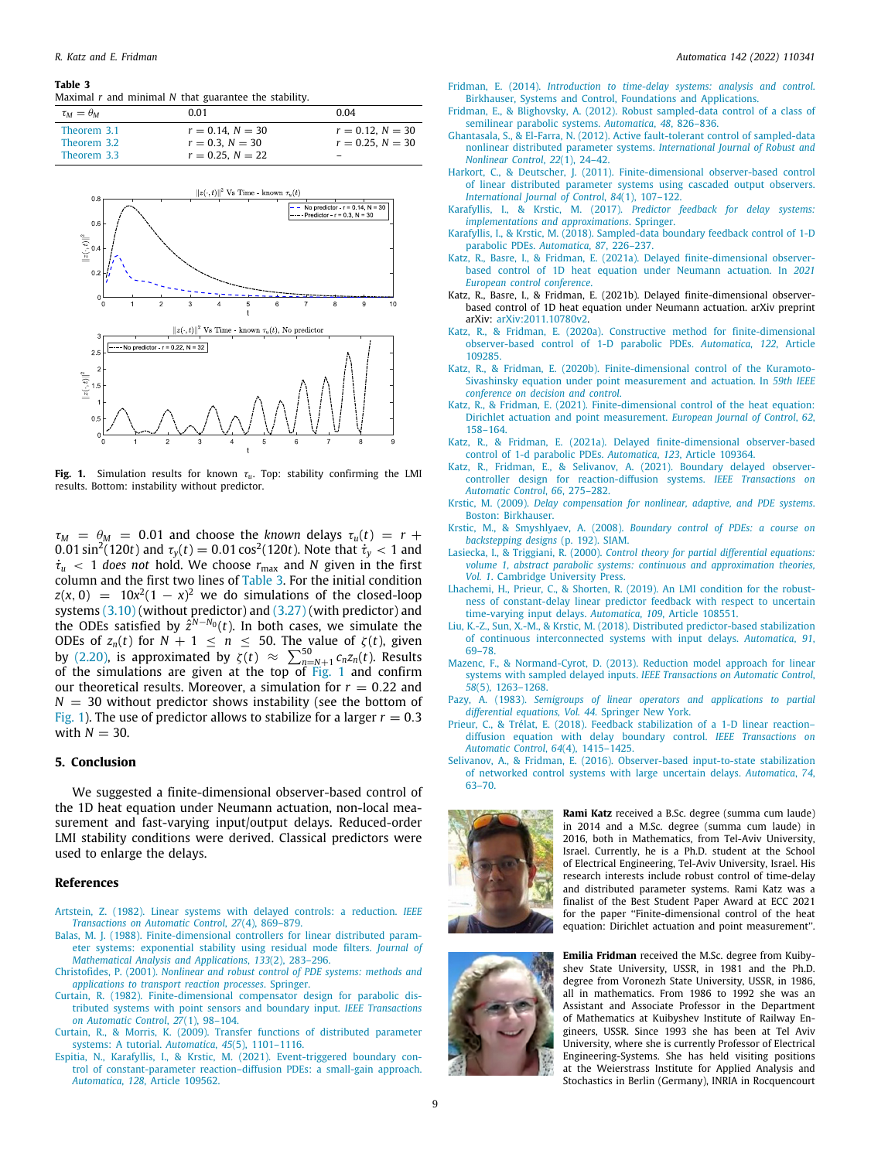#### **Table 3**

Maximal *r* and minimal *N* that guarantee the stability.

| $\tau_M = \theta_M$ | 0.01                  | 0.04                     |
|---------------------|-----------------------|--------------------------|
| Theorem 3.1         | $r = 0.14$ , $N = 30$ | $r = 0.12$ , $N = 30$    |
| Theorem 3.2         | $r = 0.3$ , $N = 30$  | $r = 0.25$ , $N = 30$    |
| Theorem 3.3         | $r = 0.25$ , $N = 22$ | $\overline{\phantom{0}}$ |



**Fig. 1.** Simulation results for known  $\tau_u$ . Top: stability confirming the LMI results. Bottom: instability without predictor.

 $\tau_M$  =  $\theta_M$  = 0.01 and choose the *known* delays  $\tau_u(t)$  =  $r$  +  $0.01\sin^2(120t)$  and  $\tau_y(t) = 0.01\cos^2(120t)$ . Note that  $\dot{\tau}_y < 1$  and  $\dot{\tau}_u$  < 1 *does not* hold. We choose  $r_{\text{max}}$  and *N* given in the first column and the first two lines of Table 3. For the initial condition  $z(x, 0) = 10x^2(1 - x)^2$  we do simulations of the closed-loop systems (3.10) (without predictor) and (3.27) (with predictor) and the ODEs satisfied by  $\hat{z}^{N-N_0}(t)$ . In both cases, we simulate the ODEs of  $z_n(t)$  for  $N + 1 \leq n \leq 50$ . The value of  $\zeta(t)$ , given by (2.20), is approximated by  $\zeta(t) \approx \sum_{n=N+1}^{50} c_n z_n(t)$ . Results of the simulations are given at the top of Fig. 1 and confirm our theoretical results. Moreover, a simulation for  $r = 0.22$  and  $N = 30$  without predictor shows instability (see the bottom of Fig. 1). The use of predictor allows to stabilize for a larger  $r = 0.3$ with  $N = 30$ .

## **5. Conclusion**

We suggested a finite-dimensional observer-based control of the 1D heat equation under Neumann actuation, non-local measurement and fast-varying input/output delays. Reduced-order LMI stability conditions were derived. Classical predictors were used to enlarge the delays.

#### **References**

- Artstein, Z. (1982). Linear systems with delayed controls: a reduction. *IEEE Transactions on Automatic Control*, *27*(4), 869–879.
- Balas, M. J. (1988). Finite-dimensional controllers for linear distributed parameter systems: exponential stability using residual mode filters. *Journal of Mathematical Analysis and Applications*, *133*(2), 283–296.
- Christofides, P. (2001). *Nonlinear and robust control of PDE systems: methods and applications to transport reaction processes*. Springer.
- Curtain, R. (1982). Finite-dimensional compensator design for parabolic distributed systems with point sensors and boundary input. *IEEE Transactions on Automatic Control*, *27*(1), 98–104.
- Curtain, R., & Morris, K. (2009). Transfer functions of distributed parameter systems: A tutorial. *Automatica*, *45*(5), 1101–1116.
- Espitia, N., Karafyllis, I., & Krstic, M. (2021). Event-triggered boundary control of constant-parameter reaction–diffusion PDEs: a small-gain approach. *Automatica*, *128*, Article 109562.
- Fridman, E. (2014). *Introduction to time-delay systems: analysis and control*. Birkhauser, Systems and Control, Foundations and Applications.
- Fridman, E., & Blighovsky, A. (2012). Robust sampled-data control of a class of semilinear parabolic systems. *Automatica*, *48*, 826–836.
- Ghantasala, S., & El-Farra, N. (2012). Active fault-tolerant control of sampled-data nonlinear distributed parameter systems. *International Journal of Robust and Nonlinear Control, 22(1), 24-42.*
- Harkort, C., & Deutscher, J. (2011). Finite-dimensional observer-based control of linear distributed parameter systems using cascaded output observers. *International Journal of Control*, *84*(1), 107–122.
- Karafyllis, I., & Krstic, M. (2017). *Predictor feedback for delay systems: implementations and approximations*. Springer.
- Karafyllis, I., & Krstic, M. (2018). Sampled-data boundary feedback control of 1-D parabolic PDEs. *Automatica*, *87*, 226–237.
- Katz, R., Basre, I., & Fridman, E. (2021a). Delayed finite-dimensional observerbased control of 1D heat equation under Neumann actuation. In *2021 European control conference*.
- Katz, R., Basre, I., & Fridman, E. (2021b). Delayed finite-dimensional observerbased control of 1D heat equation under Neumann actuation. arXiv preprint arXiv: arXiv:2011.10780v2.
- Katz, R., & Fridman, E. (2020a). Constructive method for finite-dimensional observer-based control of 1-D parabolic PDEs. *Automatica*, *122*, Article 109285.
- Katz, R., & Fridman, E. (2020b). Finite-dimensional control of the Kuramoto-Sivashinsky equation under point measurement and actuation. In *59th IEEE conference on decision and control*.
- Katz, R., & Fridman, E. (2021). Finite-dimensional control of the heat equation: Dirichlet actuation and point measurement. *European Journal of Control*, *62*, 158–164.
- Katz, R., & Fridman, E. (2021a). Delayed finite-dimensional observer-based control of 1-d parabolic PDEs. *Automatica*, *123*, Article 109364.
- Katz, R., Fridman, E., & Selivanov, A. (2021). Boundary delayed observercontroller design for reaction-diffusion systems. *IEEE Transactions on Automatic Control*, *66*, 275–282.
- Krstic, M. (2009). *Delay compensation for nonlinear, adaptive, and PDE systems*. Boston: Birkhauser.
- Krstic, M., & Smyshlyaev, A. (2008). *Boundary control of PDEs: a course on backstepping designs* (p. 192). SIAM.
- Lasiecka, I., & Triggiani, R. (2000). *Control theory for partial differential equations: volume 1, abstract parabolic systems: continuous and approximation theories, Vol. 1*. Cambridge University Press.
- Lhachemi, H., Prieur, C., & Shorten, R. (2019). An LMI condition for the robustness of constant-delay linear predictor feedback with respect to uncertain time-varying input delays. *Automatica*, *109*, Article 108551.
- Liu, K.-Z., Sun, X.-M., & Krstic, M. (2018). Distributed predictor-based stabilization of continuous interconnected systems with input delays. *Automatica*, *91*, 69–78.
- Mazenc, F., & Normand-Cyrot, D. (2013). Reduction model approach for linear systems with sampled delayed inputs. *IEEE Transactions on Automatic Control*, *58*(5), 1263–1268.
- Pazy, A. (1983). *Semigroups of linear operators and applications to partial differential equations, Vol. 44*. Springer New York.
- Prieur, C., & Trélat, E. (2018). Feedback stabilization of a 1-D linear reaction– diffusion equation with delay boundary control. *IEEE Transactions on Automatic Control*, *64*(4), 1415–1425.
- Selivanov, A., & Fridman, E. (2016). Observer-based input-to-state stabilization of networked control systems with large uncertain delays. *Automatica*, *74*, 63–70.



**Rami Katz** received a B.Sc. degree (summa cum laude) in 2014 and a M.Sc. degree (summa cum laude) in 2016, both in Mathematics, from Tel-Aviv University, Israel. Currently, he is a Ph.D. student at the School of Electrical Engineering, Tel-Aviv University, Israel. His research interests include robust control of time-delay and distributed parameter systems. Rami Katz was a finalist of the Best Student Paper Award at ECC 2021 for the paper ''Finite-dimensional control of the heat equation: Dirichlet actuation and point measurement''.



**Emilia Fridman** received the M.Sc. degree from Kuibyshev State University, USSR, in 1981 and the Ph.D. degree from Voronezh State University, USSR, in 1986, all in mathematics. From 1986 to 1992 she was an Assistant and Associate Professor in the Department of Mathematics at Kuibyshev Institute of Railway Engineers, USSR. Since 1993 she has been at Tel Aviv University, where she is currently Professor of Electrical Engineering-Systems. She has held visiting positions at the Weierstrass Institute for Applied Analysis and Stochastics in Berlin (Germany), INRIA in Rocquencourt